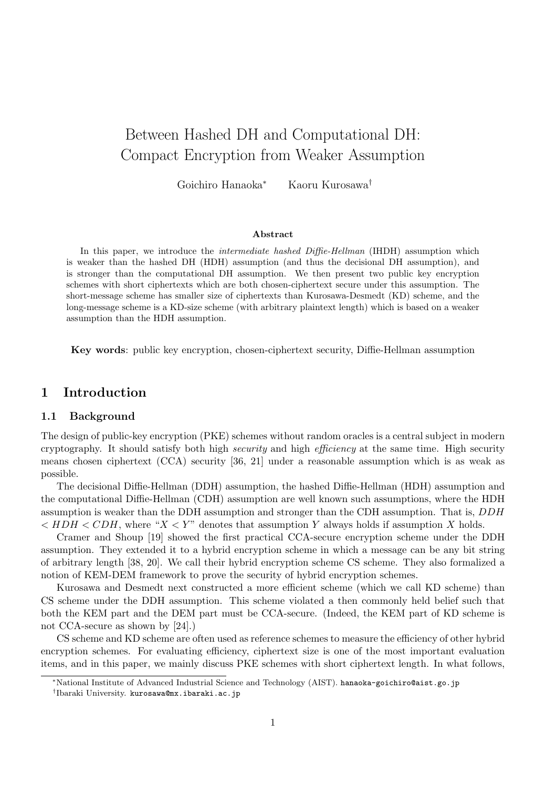# Between Hashed DH and Computational DH: Compact Encryption from Weaker Assumption

Goichiro Hanaoka<sup>∗</sup> Kaoru Kurosawa†

#### Abstract

In this paper, we introduce the *intermediate hashed Diffie-Hellman* (IHDH) assumption which is weaker than the hashed DH (HDH) assumption (and thus the decisional DH assumption), and is stronger than the computational DH assumption. We then present two public key encryption schemes with short ciphertexts which are both chosen-ciphertext secure under this assumption. The short-message scheme has smaller size of ciphertexts than Kurosawa-Desmedt (KD) scheme, and the long-message scheme is a KD-size scheme (with arbitrary plaintext length) which is based on a weaker assumption than the HDH assumption.

Key words: public key encryption, chosen-ciphertext security, Diffie-Hellman assumption

## 1 Introduction

#### 1.1 Background

The design of public-key encryption (PKE) schemes without random oracles is a central subject in modern cryptography. It should satisfy both high security and high efficiency at the same time. High security means chosen ciphertext (CCA) security [36, 21] under a reasonable assumption which is as weak as possible.

The decisional Diffie-Hellman (DDH) assumption, the hashed Diffie-Hellman (HDH) assumption and the computational Diffie-Hellman (CDH) assumption are well known such assumptions, where the HDH assumption is weaker than the DDH assumption and stronger than the CDH assumption. That is, DDH  $\langle$  HDH  $\langle$  CDH, where "X  $\langle Y \rangle$ " denotes that assumption Y always holds if assumption X holds.

Cramer and Shoup [19] showed the first practical CCA-secure encryption scheme under the DDH assumption. They extended it to a hybrid encryption scheme in which a message can be any bit string of arbitrary length [38, 20]. We call their hybrid encryption scheme CS scheme. They also formalized a notion of KEM-DEM framework to prove the security of hybrid encryption schemes.

Kurosawa and Desmedt next constructed a more efficient scheme (which we call KD scheme) than CS scheme under the DDH assumption. This scheme violated a then commonly held belief such that both the KEM part and the DEM part must be CCA-secure. (Indeed, the KEM part of KD scheme is not CCA-secure as shown by [24].)

CS scheme and KD scheme are often used as reference schemes to measure the efficiency of other hybrid encryption schemes. For evaluating efficiency, ciphertext size is one of the most important evaluation items, and in this paper, we mainly discuss PKE schemes with short ciphertext length. In what follows,

<sup>∗</sup>National Institute of Advanced Industrial Science and Technology (AIST). hanaoka-goichiro@aist.go.jp

<sup>†</sup> Ibaraki University. kurosawa@mx.ibaraki.ac.jp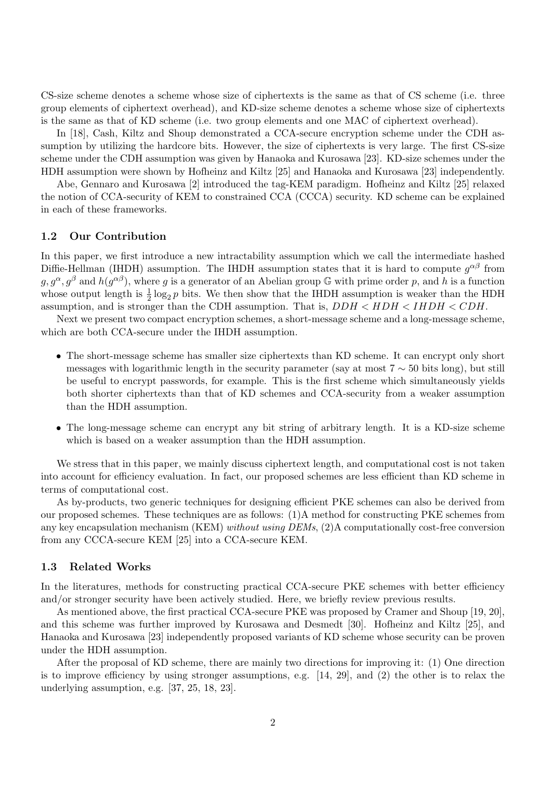CS-size scheme denotes a scheme whose size of ciphertexts is the same as that of CS scheme (i.e. three group elements of ciphertext overhead), and KD-size scheme denotes a scheme whose size of ciphertexts is the same as that of KD scheme (i.e. two group elements and one MAC of ciphertext overhead).

In [18], Cash, Kiltz and Shoup demonstrated a CCA-secure encryption scheme under the CDH assumption by utilizing the hardcore bits. However, the size of ciphertexts is very large. The first CS-size scheme under the CDH assumption was given by Hanaoka and Kurosawa [23]. KD-size schemes under the HDH assumption were shown by Hofheinz and Kiltz [25] and Hanaoka and Kurosawa [23] independently.

Abe, Gennaro and Kurosawa [2] introduced the tag-KEM paradigm. Hofheinz and Kiltz [25] relaxed the notion of CCA-security of KEM to constrained CCA (CCCA) security. KD scheme can be explained in each of these frameworks.

#### 1.2 Our Contribution

In this paper, we first introduce a new intractability assumption which we call the intermediate hashed Diffie-Hellman (IHDH) assumption. The IHDH assumption states that it is hard to compute  $g^{\alpha\beta}$  from  $g, g^{\alpha}, g^{\beta}$  and  $h(g^{\alpha\beta})$ , where g is a generator of an Abelian group G with prime order p, and h is a function whose output length is  $\frac{1}{2} \log_2 p$  bits. We then show that the IHDH assumption is weaker than the HDH assumption, and is stronger than the CDH assumption. That is,  $DDH < HDH < CDH$ .

Next we present two compact encryption schemes, a short-message scheme and a long-message scheme, which are both CCA-secure under the IHDH assumption.

- The short-message scheme has smaller size ciphertexts than KD scheme. It can encrypt only short messages with logarithmic length in the security parameter (say at most  $7 \sim 50$  bits long), but still be useful to encrypt passwords, for example. This is the first scheme which simultaneously yields both shorter ciphertexts than that of KD schemes and CCA-security from a weaker assumption than the HDH assumption.
- The long-message scheme can encrypt any bit string of arbitrary length. It is a KD-size scheme which is based on a weaker assumption than the HDH assumption.

We stress that in this paper, we mainly discuss ciphertext length, and computational cost is not taken into account for efficiency evaluation. In fact, our proposed schemes are less efficient than KD scheme in terms of computational cost.

As by-products, two generic techniques for designing efficient PKE schemes can also be derived from our proposed schemes. These techniques are as follows: (1)A method for constructing PKE schemes from any key encapsulation mechanism (KEM) without using DEMs, (2)A computationally cost-free conversion from any CCCA-secure KEM [25] into a CCA-secure KEM.

#### 1.3 Related Works

In the literatures, methods for constructing practical CCA-secure PKE schemes with better efficiency and/or stronger security have been actively studied. Here, we briefly review previous results.

As mentioned above, the first practical CCA-secure PKE was proposed by Cramer and Shoup [19, 20], and this scheme was further improved by Kurosawa and Desmedt [30]. Hofheinz and Kiltz [25], and Hanaoka and Kurosawa [23] independently proposed variants of KD scheme whose security can be proven under the HDH assumption.

After the proposal of KD scheme, there are mainly two directions for improving it: (1) One direction is to improve efficiency by using stronger assumptions, e.g.  $[14, 29]$ , and  $(2)$  the other is to relax the underlying assumption, e.g. [37, 25, 18, 23].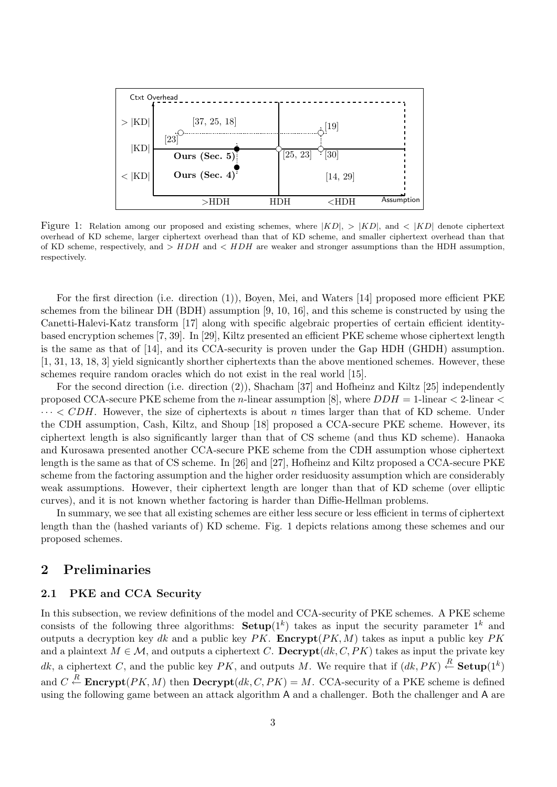

Figure 1: Relation among our proposed and existing schemes, where  $|KD|$ ,  $> |KD|$ , and  $< |KD|$  denote ciphertext overhead of KD scheme, larger ciphertext overhead than that of KD scheme, and smaller ciphertext overhead than that of KD scheme, respectively, and  $> HDH$  and  $< HDH$  are weaker and stronger assumptions than the HDH assumption, respectively.

For the first direction (i.e. direction (1)), Boyen, Mei, and Waters [14] proposed more efficient PKE schemes from the bilinear DH (BDH) assumption [9, 10, 16], and this scheme is constructed by using the Canetti-Halevi-Katz transform [17] along with specific algebraic properties of certain efficient identitybased encryption schemes [7, 39]. In [29], Kiltz presented an efficient PKE scheme whose ciphertext length is the same as that of [14], and its CCA-security is proven under the Gap HDH (GHDH) assumption. [1, 31, 13, 18, 3] yield signicantly shorther ciphertexts than the above mentioned schemes. However, these schemes require random oracles which do not exist in the real world [15].

For the second direction (i.e. direction (2)), Shacham [37] and Hofheinz and Kiltz [25] independently proposed CCA-secure PKE scheme from the *n*-linear assumption [8], where  $DDH = 1$ -linear  $\lt 2$ -linear  $\lt$  $\cdots$  < CDH. However, the size of ciphertexts is about n times larger than that of KD scheme. Under the CDH assumption, Cash, Kiltz, and Shoup [18] proposed a CCA-secure PKE scheme. However, its ciphertext length is also significantly larger than that of CS scheme (and thus KD scheme). Hanaoka and Kurosawa presented another CCA-secure PKE scheme from the CDH assumption whose ciphertext length is the same as that of CS scheme. In [26] and [27], Hofheinz and Kiltz proposed a CCA-secure PKE scheme from the factoring assumption and the higher order residuosity assumption which are considerably weak assumptions. However, their ciphertext length are longer than that of KD scheme (over elliptic curves), and it is not known whether factoring is harder than Diffie-Hellman problems.

In summary, we see that all existing schemes are either less secure or less efficient in terms of ciphertext length than the (hashed variants of) KD scheme. Fig. 1 depicts relations among these schemes and our proposed schemes.

# 2 Preliminaries

#### 2.1 PKE and CCA Security

In this subsection, we review definitions of the model and CCA-security of PKE schemes. A PKE scheme consists of the following three algorithms:  $\textbf{Setup}(1^k)$  takes as input the security parameter  $1^k$  and outputs a decryption key dk and a public key  $PK$ . **Encrypt** $(PK, M)$  takes as input a public key  $PK$ and a plaintext  $M \in \mathcal{M}$ , and outputs a ciphertext C. Decrypt $(dk, C, PK)$  takes as input the private key dk, a ciphertext C, and the public key PK, and outputs M. We require that if  $(dk, PK) \stackrel{R}{\leftarrow}$  Setup $(1^k)$ and  $C \stackrel{R}{\leftarrow}$  **Encrypt**( $PK, M$ ) then  $\textbf{Decrypt}(dk, C, PK) = M$ . CCA-security of a PKE scheme is defined using the following game between an attack algorithm A and a challenger. Both the challenger and A are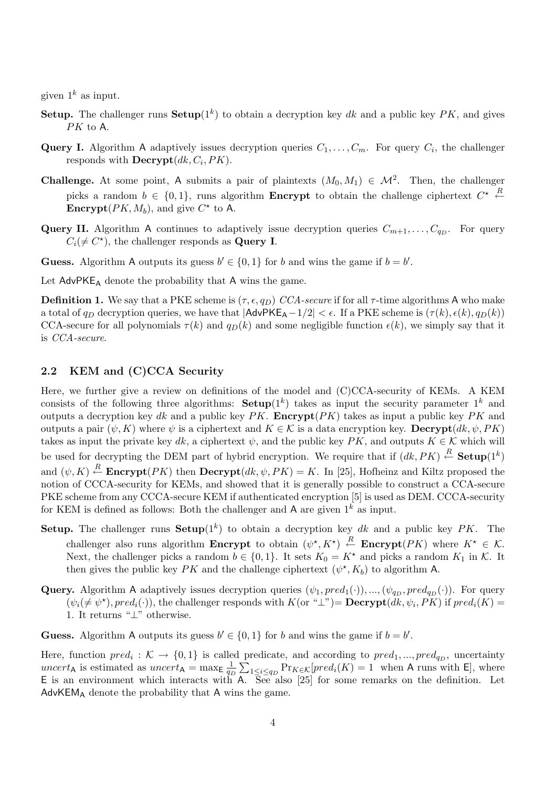given  $1^k$  as input.

- **Setup.** The challenger runs  $\textbf{Setup}(1^k)$  to obtain a decryption key dk and a public key PK, and gives PK to A.
- **Query I.** Algorithm A adaptively issues decryption queries  $C_1, \ldots, C_m$ . For query  $C_i$ , the challenger responds with  $\textbf{Decrypt}(dk, C_i, PK)$ .
- **Challenge.** At some point, A submits a pair of plaintexts  $(M_0, M_1) \in M^2$ . Then, the challenger picks a random  $b \in \{0,1\}$ , runs algorithm **Encrypt** to obtain the challenge ciphertext  $C^* \stackrel{R}{\leftarrow}$ **Encrypt** $(PK, M_b)$ , and give  $C^*$  to A.
- **Query II.** Algorithm A continues to adaptively issue decryption queries  $C_{m+1}, \ldots, C_{q_D}$ . For query  $C_i(\neq C^*)$ , the challenger responds as **Query I**.

**Guess.** Algorithm A outputs its guess  $b' \in \{0, 1\}$  for b and wins the game if  $b = b'$ .

Let  $AdvPKE_A$  denote the probability that A wins the game.

**Definition 1.** We say that a PKE scheme is  $(\tau, \epsilon, q_D)$  CCA-secure if for all  $\tau$ -time algorithms A who make a total of  $q_D$  decryption queries, we have that  $|AdvPKE_A-1/2| < \epsilon$ . If a PKE scheme is  $(\tau(k), \epsilon(k), q_D(k))$ CCA-secure for all polynomials  $\tau(k)$  and  $q_D(k)$  and some negligible function  $\epsilon(k)$ , we simply say that it is CCA-secure.

#### 2.2 KEM and (C)CCA Security

Here, we further give a review on definitions of the model and (C)CCA-security of KEMs. A KEM consists of the following three algorithms:  $\textbf{Setup}(1^k)$  takes as input the security parameter  $1^k$  and outputs a decryption key dk and a public key  $PK$ . **Encrypt** $(PK)$  takes as input a public key PK and outputs a pair  $(\psi, K)$  where  $\psi$  is a ciphertext and  $K \in \mathcal{K}$  is a data encryption key. Decrypt $(dk, \psi, PK)$ takes as input the private key dk, a ciphertext  $\psi$ , and the public key PK, and outputs  $K \in \mathcal{K}$  which will be used for decrypting the DEM part of hybrid encryption. We require that if  $(dk, PK) \stackrel{R}{\leftarrow}$  Setup $(1^k)$ and  $(\psi, K) \stackrel{R}{\leftarrow}$  **Encrypt** $(PK)$  then **Decrypt** $(dk, \psi, PK) = K$ . In [25], Hofheinz and Kiltz proposed the notion of CCCA-security for KEMs, and showed that it is generally possible to construct a CCA-secure PKE scheme from any CCCA-secure KEM if authenticated encryption [5] is used as DEM. CCCA-security for KEM is defined as follows: Both the challenger and A are given  $1^k$  as input.

- Setup. The challenger runs Setup $(1^k)$  to obtain a decryption key dk and a public key PK. The challenger also runs algorithm Encrypt to obtain  $(\psi^*, K^*) \stackrel{R}{\leftarrow}$  Encrypt $(PK)$  where  $K^* \in \mathcal{K}$ . Next, the challenger picks a random  $b \in \{0, 1\}$ . It sets  $K_0 = K^*$  and picks a random  $K_1$  in K. It then gives the public key PK and the challenge ciphertext  $(\psi^*, K_b)$  to algorithm A.
- **Query.** Algorithm A adaptively issues decryption queries  $(\psi_1, pred_1(\cdot)), ..., (\psi_{q_D}, pred_{q_D}(\cdot))$ . For query  $(\psi_i(\neq \psi^{\star}), pred_i(\cdot)),$  the challenger responds with  $K(\text{or ``}\perp") = \text{Decrypt}(dk, \psi_i, PK)$  if  $pred_i(K) =$ 1. It returns "⊥" otherwise.

**Guess.** Algorithm A outputs its guess  $b' \in \{0, 1\}$  for b and wins the game if  $b = b'$ .

Here, function  $pred_i: \mathcal{K} \to \{0,1\}$  is called predicate, and according to  $pred_1, ..., pred_{q_D}$ , uncertainty uncert<sub>A</sub> is estimated as uncert<sub>A</sub> = max<sub>E</sub>  $\frac{1}{q}$  $\frac{1}{q_D} \sum_{1 \leq i \leq q_D} \Pr_{K \in \mathcal{K}}[pred_i(K)] = 1$  when A runs with E, where E is an environment which interacts with A. See also [25] for some remarks on the definition. Let  $AdvKEM<sub>A</sub>$  denote the probability that A wins the game.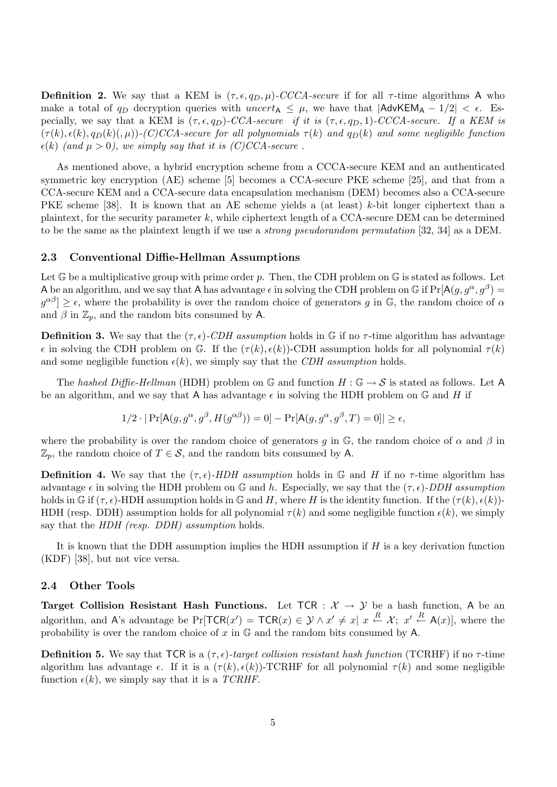**Definition 2.** We say that a KEM is  $(\tau, \epsilon, q_D, \mu)$ -CCCA-secure if for all  $\tau$ -time algorithms A who make a total of  $q_D$  decryption queries with uncert<sub>A</sub>  $\leq \mu$ , we have that  $|$ AdvKEM<sub>A</sub> – 1/2|  $\lt \epsilon$ . Especially, we say that a KEM is  $(\tau, \epsilon, q_D)$ -CCA-secure if it is  $(\tau, \epsilon, q_D, 1)$ -CCCA-secure. If a KEM is  $(\tau(k), \epsilon(k), q_D(k), \mu)$ -(C)CCA-secure for all polynomials  $\tau(k)$  and  $q_D(k)$  and some negligible function  $\epsilon(k)$  (and  $\mu > 0$ ), we simply say that it is (C)CCA-secure.

As mentioned above, a hybrid encryption scheme from a CCCA-secure KEM and an authenticated symmetric key encryption (AE) scheme [5] becomes a CCA-secure PKE scheme [25], and that from a CCA-secure KEM and a CCA-secure data encapsulation mechanism (DEM) becomes also a CCA-secure PKE scheme [38]. It is known that an AE scheme yields a (at least) k-bit longer ciphertext than a plaintext, for the security parameter k, while ciphertext length of a CCA-secure DEM can be determined to be the same as the plaintext length if we use a strong pseudorandom permutation [32, 34] as a DEM.

#### 2.3 Conventional Diffie-Hellman Assumptions

Let  $\mathbb G$  be a multiplicative group with prime order p. Then, the CDH problem on  $\mathbb G$  is stated as follows. Let A be an algorithm, and we say that A has advantage  $\epsilon$  in solving the CDH problem on G if  $Pr[A(g, g^{\alpha}, g^{\beta})]$  $g^{\alpha\beta}$   $\geq \epsilon$ , where the probability is over the random choice of generators g in G, the random choice of  $\alpha$ and  $\beta$  in  $\mathbb{Z}_p$ , and the random bits consumed by A.

**Definition 3.** We say that the  $(\tau, \epsilon)$ -CDH assumption holds in G if no  $\tau$ -time algorithm has advantage  $\epsilon$  in solving the CDH problem on G. If the  $(\tau(k), \epsilon(k))$ -CDH assumption holds for all polynomial  $\tau(k)$ and some negligible function  $\epsilon(k)$ , we simply say that the CDH assumption holds.

The hashed Diffie-Hellman (HDH) problem on G and function  $H: \mathbb{G} \to S$  is stated as follows. Let A be an algorithm, and we say that A has advantage  $\epsilon$  in solving the HDH problem on G and H if

$$
1/2 \cdot |\Pr[\mathsf{A}(g, g^{\alpha}, g^{\beta}, H(g^{\alpha\beta})) = 0] - \Pr[\mathsf{A}(g, g^{\alpha}, g^{\beta}, T) = 0]| \ge \epsilon,
$$

where the probability is over the random choice of generators g in  $\mathbb{G}$ , the random choice of  $\alpha$  and  $\beta$  in  $\mathbb{Z}_p$ , the random choice of  $T \in \mathcal{S}$ , and the random bits consumed by A.

**Definition 4.** We say that the  $(\tau, \epsilon)$ -HDH assumption holds in G and H if no  $\tau$ -time algorithm has advantage  $\epsilon$  in solving the HDH problem on G and h. Especially, we say that the  $(\tau, \epsilon)$ -DDH assumption holds in G if  $(\tau, \epsilon)$ -HDH assumption holds in G and H, where H is the identity function. If the  $(\tau(k), \epsilon(k))$ -HDH (resp. DDH) assumption holds for all polynomial  $\tau(k)$  and some negligible function  $\epsilon(k)$ , we simply say that the HDH (resp. DDH) assumption holds.

It is known that the DDH assumption implies the HDH assumption if  $H$  is a key derivation function (KDF) [38], but not vice versa.

#### 2.4 Other Tools

Target Collision Resistant Hash Functions. Let  $TCR : \mathcal{X} \rightarrow \mathcal{Y}$  be a hash function, A be an algorithm, and A's advantage be  $Pr[TCR(x') = TCR(x) \in \mathcal{Y} \wedge x' \neq x]$   $x \stackrel{R}{\leftarrow} \mathcal{X}; x' \stackrel{R}{\leftarrow} A(x)],$  where the probability is over the random choice of  $x$  in  $\mathbb G$  and the random bits consumed by A.

**Definition 5.** We say that TCR is a  $(\tau, \epsilon)$ -target collision resistant hash function (TCRHF) if no  $\tau$ -time algorithm has advantage  $\epsilon$ . If it is a  $(\tau(k), \epsilon(k))$ -TCRHF for all polynomial  $\tau(k)$  and some negligible function  $\epsilon(k)$ , we simply say that it is a TCRHF.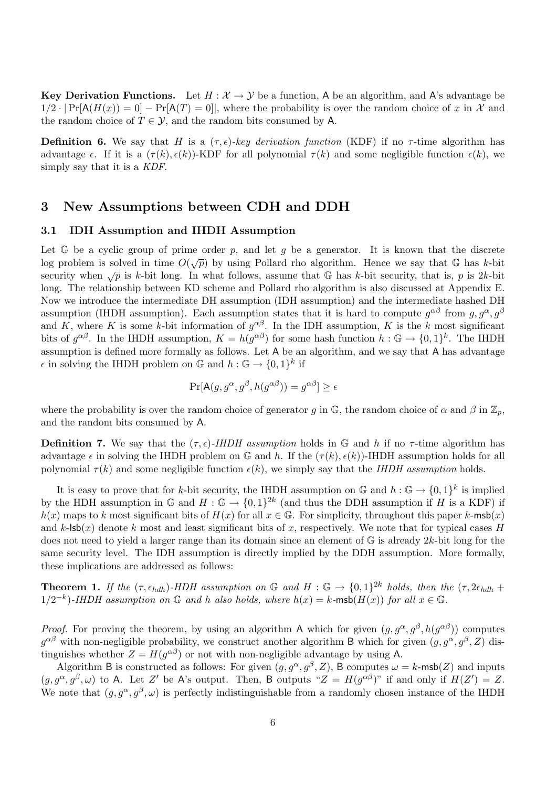Key Derivation Functions. Let  $H : \mathcal{X} \to \mathcal{Y}$  be a function, A be an algorithm, and A's advantage be  $1/2 \cdot |Pr[A(H(x)) = 0] - Pr[A(T) = 0]|$ , where the probability is over the random choice of x in X and the random choice of  $T \in \mathcal{Y}$ , and the random bits consumed by A.

**Definition 6.** We say that H is a  $(\tau, \epsilon)$ -key derivation function (KDF) if no  $\tau$ -time algorithm has advantage  $\epsilon$ . If it is a  $(\tau(k), \epsilon(k))$ -KDF for all polynomial  $\tau(k)$  and some negligible function  $\epsilon(k)$ , we simply say that it is a KDF.

## 3 New Assumptions between CDH and DDH

#### 3.1 IDH Assumption and IHDH Assumption

Let  $\mathbb G$  be a cyclic group of prime order p, and let g be a generator. It is known that the discrete Let  $G$  be a cyclic group of prime order p, and let y be a generator. It is known that the discrete security when  $\sqrt{p}$  is k-bit long. In what follows, assume that G has k-bit security, that is, p is 2k-bit long. The relationship between KD scheme and Pollard rho algorithm is also discussed at Appendix E. Now we introduce the intermediate DH assumption (IDH assumption) and the intermediate hashed DH assumption (IHDH assumption). Each assumption states that it is hard to compute  $g^{\alpha\beta}$  from  $g, g^{\alpha}, g^{\beta}$ and K, where K is some k-bit information of  $g^{\alpha\beta}$ . In the IDH assumption, K is the k most significant bits of  $g^{\alpha\beta}$ . In the IHDH assumption,  $K = h(g^{\alpha\beta})$  for some hash function  $h : \mathbb{G} \to \{0,1\}^k$ . The IHDH assumption is defined more formally as follows. Let A be an algorithm, and we say that A has advantage  $\epsilon$  in solving the IHDH problem on  $\mathbb{G}$  and  $h : \mathbb{G} \to \{0,1\}^k$  if

$$
\Pr[\mathsf{A}(g, g^{\alpha}, g^{\beta}, h(g^{\alpha \beta})) = g^{\alpha \beta}] \ge \epsilon
$$

where the probability is over the random choice of generator g in  $\mathbb{G}$ , the random choice of  $\alpha$  and  $\beta$  in  $\mathbb{Z}_p$ , and the random bits consumed by A.

**Definition 7.** We say that the  $(\tau, \epsilon)$ -*IHDH* assumption holds in G and h if no  $\tau$ -time algorithm has advantage  $\epsilon$  in solving the IHDH problem on G and h. If the  $(\tau(k), \epsilon(k))$ -IHDH assumption holds for all polynomial  $\tau(k)$  and some negligible function  $\epsilon(k)$ , we simply say that the *IHDH assumption* holds.

It is easy to prove that for k-bit security, the IHDH assumption on  $\mathbb{G}$  and  $h : \mathbb{G} \to \{0,1\}^k$  is implied by the HDH assumption in  $\mathbb{G}$  and  $H: \mathbb{G} \to \{0,1\}^{2k}$  (and thus the DDH assumption if H is a KDF) if  $h(x)$  maps to k most significant bits of  $H(x)$  for all  $x \in \mathbb{G}$ . For simplicity, throughout this paper k-msb(x) and  $k$ -lsb(x) denote k most and least significant bits of x, respectively. We note that for typical cases H does not need to yield a larger range than its domain since an element of  $\mathbb{G}$  is already 2k-bit long for the same security level. The IDH assumption is directly implied by the DDH assumption. More formally, these implications are addressed as follows:

**Theorem 1.** If the  $(\tau, \epsilon_{hdh})$ -HDH assumption on G and H : G  $\rightarrow$   $\{0,1\}^{2k}$  holds, then the  $(\tau, 2\epsilon_{hdh}$  +  $1/2^{-k}$ )-IHDH assumption on G and h also holds, where  $h(x) = k$ -msb $(H(x))$  for all  $x \in \mathbb{G}$ .

*Proof.* For proving the theorem, by using an algorithm A which for given  $(g, g^{\alpha}, g^{\beta}, h(g^{\alpha\beta}))$  computes  $g^{\alpha\beta}$  with non-negligible probability, we construct another algorithm B which for given  $(g, g^{\alpha}, g^{\beta}, Z)$  distinguishes whether  $Z = H(g^{\alpha\beta})$  or not with non-negligible advantage by using A.

Algorithm B is constructed as follows: For given  $(g, g^{\alpha}, g^{\beta}, Z)$ , B computes  $\omega = k$ -msb(Z) and inputs  $(g, g^{\alpha}, g^{\beta}, \omega)$  to A. Let Z' be A's output. Then, B outputs " $Z = H(g^{\alpha\beta})$ " if and only if  $H(Z') = Z$ . We note that  $(g, g^{\alpha}, g^{\beta}, \omega)$  is perfectly indistinguishable from a randomly chosen instance of the IHDH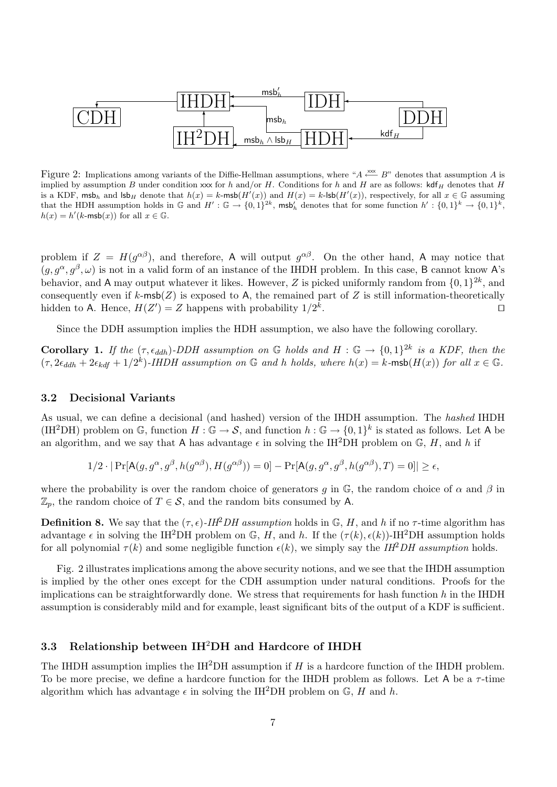

Figure 2: Implications among variants of the Diffie-Hellman assumptions, where " $A \stackrel{\text{xxx}}{\longleftarrow} B$ " denotes that assumption A is implied by assumption B under condition xxx for h and/or H. Conditions for h and H are as follows:  $\operatorname{kdf}_H$  denotes that H is a KDF, msb<sub>h</sub> and  $\mathsf{lsb}_H$  denote that  $h(x) = k$ -msb $(H'(x))$  and  $H(x) = k$ -lsb $(H'(x))$ , respectively, for all  $x \in \mathbb{G}$  assuming that the HDH assumption holds in  $\mathbb{G}$  and  $H': \mathbb{G} \to \{0,1\}^{2k}$ , msb'<sub>h</sub> denotes that for some function  $h': \{0,1\}^{k} \to \{0,1\}^{k}$ ,  $h(x) = h'(k\text{-msb}(x))$  for all  $x \in \mathbb{G}$ .

problem if  $Z = H(g^{\alpha\beta})$ , and therefore, A will output  $g^{\alpha\beta}$ . On the other hand, A may notice that  $(g, g^{\alpha}, g^{\beta}, \omega)$  is not in a valid form of an instance of the IHDH problem. In this case, B cannot know A's behavior, and A may output whatever it likes. However, Z is picked uniformly random from  $\{0,1\}^{2k}$ , and consequently even if  $k$ -msb( $Z$ ) is exposed to A, the remained part of  $Z$  is still information-theoretically hidden to A. Hence,  $H(Z') = Z$  happens with probability  $1/2^k$ . The contract of the contract of  $\Box$ 

Since the DDH assumption implies the HDH assumption, we also have the following corollary.

**Corollary 1.** If the  $(\tau, \epsilon_{ddh})$ -DDH assumption on G holds and H : G  $\rightarrow$   $\{0,1\}^{2k}$  is a KDF, then the  $(\tau, 2\epsilon_{ddh} + 2\epsilon_{kdf} + 1/2^k)$ -IHDH assumption on G and h holds, where  $h(x) = k$ -msb $(H(x))$  for all  $x \in \mathbb{G}$ .

#### 3.2 Decisional Variants

As usual, we can define a decisional (and hashed) version of the IHDH assumption. The hashed IHDH (IH<sup>2</sup>DH) problem on G, function  $H : \mathbb{G} \to \mathcal{S}$ , and function  $h : \mathbb{G} \to \{0,1\}^k$  is stated as follows. Let A be an algorithm, and we say that A has advantage  $\epsilon$  in solving the IH<sup>2</sup>DH problem on G, H, and h if

$$
1/2 \cdot |\Pr[\mathsf{A}(g, g^{\alpha}, g^{\beta}, h(g^{\alpha \beta}), H(g^{\alpha \beta})) = 0] - \Pr[\mathsf{A}(g, g^{\alpha}, g^{\beta}, h(g^{\alpha \beta}), T) = 0]| \ge \epsilon,
$$

where the probability is over the random choice of generators q in  $\mathbb{G}$ , the random choice of  $\alpha$  and  $\beta$  in  $\mathbb{Z}_p$ , the random choice of  $T \in \mathcal{S}$ , and the random bits consumed by A.

**Definition 8.** We say that the  $(\tau, \epsilon)$ -IH<sup>2</sup>DH assumption holds in G, H, and h if no  $\tau$ -time algorithm has advantage  $\epsilon$  in solving the IH<sup>2</sup>DH problem on G, H, and h. If the  $(\tau(k), \epsilon(k))$ -IH<sup>2</sup>DH assumption holds for all polynomial  $\tau(k)$  and some negligible function  $\epsilon(k)$ , we simply say the IH<sup>2</sup>DH assumption holds.

Fig. 2 illustrates implications among the above security notions, and we see that the IHDH assumption is implied by the other ones except for the CDH assumption under natural conditions. Proofs for the implications can be straightforwardly done. We stress that requirements for hash function  $h$  in the IHDH assumption is considerably mild and for example, least significant bits of the output of a KDF is sufficient.

#### 3.3 Relationship between  $IH^2DH$  and Hardcore of IHDH

The IHDH assumption implies the IH<sup>2</sup>DH assumption if H is a hardcore function of the IHDH problem. To be more precise, we define a hardcore function for the IHDH problem as follows. Let A be a  $\tau$ -time algorithm which has advantage  $\epsilon$  in solving the IH<sup>2</sup>DH problem on  $\mathbb{G}$ , H and h.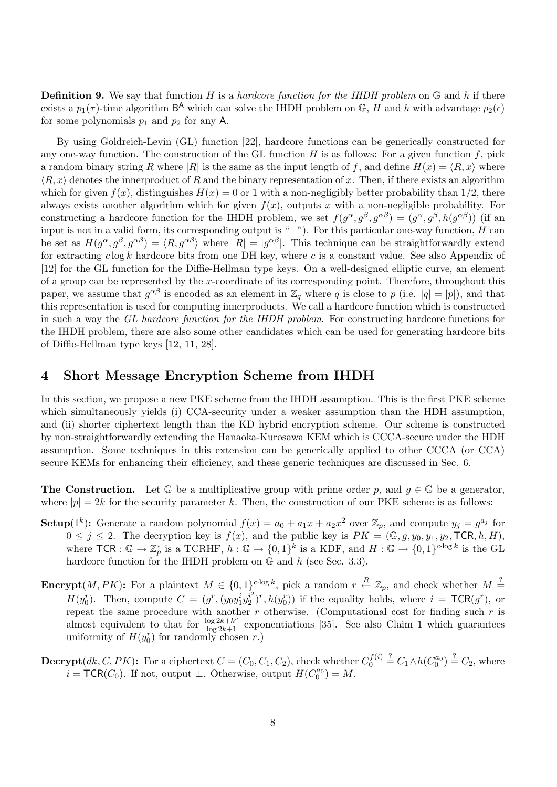**Definition 9.** We say that function H is a hardcore function for the IHDH problem on  $\mathbb{G}$  and h if there exists a  $p_1(\tau)$ -time algorithm  $\mathsf{B}^{\mathsf{A}}$  which can solve the IHDH problem on  $\mathbb{G}$ , H and h with advantage  $p_2(\epsilon)$ for some polynomials  $p_1$  and  $p_2$  for any A.

By using Goldreich-Levin (GL) function [22], hardcore functions can be generically constructed for any one-way function. The construction of the GL function  $H$  is as follows: For a given function  $f$ , pick a random binary string R where |R| is the same as the input length of f, and define  $H(x) = \langle R, x \rangle$  where  $\langle R, x \rangle$  denotes the innerproduct of R and the binary representation of x. Then, if there exists an algorithm which for given  $f(x)$ , distinguishes  $H(x) = 0$  or 1 with a non-negligibly better probability than 1/2, there always exists another algorithm which for given  $f(x)$ , outputs x with a non-negligible probability. For constructing a hardcore function for the IHDH problem, we set  $f(g^{\alpha}, g^{\beta}, g^{\alpha\beta}) = (g^{\alpha}, g^{\beta}, h(g^{\alpha\beta}))$  (if an input is not in a valid form, its corresponding output is " $\perp$ "). For this particular one-way function, H can be set as  $H(g^{\alpha}, g^{\beta}, g^{\alpha\beta}) = \langle R, g^{\alpha\beta} \rangle$  where  $|R| = |g^{\alpha\beta}|$ . This technique can be straightforwardly extend for extracting  $c \log k$  hardcore bits from one DH key, where c is a constant value. See also Appendix of [12] for the GL function for the Diffie-Hellman type keys. On a well-designed elliptic curve, an element of a group can be represented by the x-coordinate of its corresponding point. Therefore, throughout this paper, we assume that  $g^{\alpha\beta}$  is encoded as an element in  $\mathbb{Z}_q$  where q is close to p (i.e.  $|q|=|p|$ ), and that this representation is used for computing innerproducts. We call a hardcore function which is constructed in such a way the GL hardcore function for the IHDH problem. For constructing hardcore functions for the IHDH problem, there are also some other candidates which can be used for generating hardcore bits of Diffie-Hellman type keys [12, 11, 28].

## 4 Short Message Encryption Scheme from IHDH

In this section, we propose a new PKE scheme from the IHDH assumption. This is the first PKE scheme which simultaneously yields (i) CCA-security under a weaker assumption than the HDH assumption, and (ii) shorter ciphertext length than the KD hybrid encryption scheme. Our scheme is constructed by non-straightforwardly extending the Hanaoka-Kurosawa KEM which is CCCA-secure under the HDH assumption. Some techniques in this extension can be generically applied to other CCCA (or CCA) secure KEMs for enhancing their efficiency, and these generic techniques are discussed in Sec. 6.

**The Construction.** Let  $\mathbb{G}$  be a multiplicative group with prime order p, and  $q \in \mathbb{G}$  be a generator, where  $|p| = 2k$  for the security parameter k. Then, the construction of our PKE scheme is as follows:

- **Setup**(1<sup>k</sup>): Generate a random polynomial  $f(x) = a_0 + a_1x + a_2x^2$  over  $\mathbb{Z}_p$ , and compute  $y_j = g^{a_j}$  for  $0 \leq j \leq 2$ . The decryption key is  $f(x)$ , and the public key is  $PK = (\mathbb{G}, g, y_0, y_1, y_2, \mathsf{TCR}, h, H)$ , where  $\mathsf{TCR} : \mathbb{G} \to \mathbb{Z}_p^*$  is a  $\mathsf{TCRHF}, h : \mathbb{G} \to \{0,1\}^k$  is a KDF, and  $H : \mathbb{G} \to \{0,1\}^{c \cdot \log k}$  is the GL hardcore function for the IHDH problem on  $\mathbb G$  and  $h$  (see Sec. 3.3).
- **Encrypt** $(M, PK)$ : For a plaintext  $M \in \{0,1\}^{c \cdot \log k}$ , pick a random  $r \stackrel{R}{\leftarrow} \mathbb{Z}_p$ , and check whether  $M \stackrel{?}{=}$  $H(y_0^r)$ . Then, compute  $C = (g^r, (y_0 y_1^i y_2^{i^2}))$  $(i^2)^r$ ,  $h(y_0^r)$  if the equality holds, where  $i = \textsf{TCR}(g^r)$ , or repeat the same procedure with another  $r$  otherwise. (Computational cost for finding such  $r$  is almost equivalent to that for  $\frac{\log 2k + k^c}{\log 2k + 1}$  exponentiations [35]. See also Claim 1 which guarantees uniformity of  $H(y_0^r)$  for randomly chosen r.)
- **Decrypt**(*dk*, *C*, *PK*): For a ciphertext  $C = (C_0, C_1, C_2)$ , check whether  $C_0^{f(i)}$  $b_0^{f(i)} \stackrel{?}{=} C_1 \wedge h(C_0^{a_0}) \stackrel{?}{=} C_2$ , where  $i = \mathsf{TCR}(C_0)$ . If not, output  $\perp$ . Otherwise, output  $H(C_0^{a_0}) = M$ .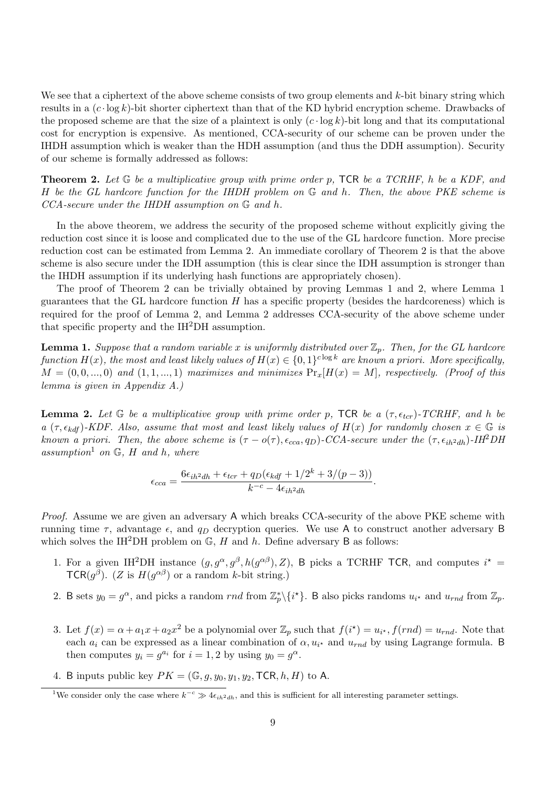We see that a ciphertext of the above scheme consists of two group elements and k-bit binary string which results in a  $(c \cdot \log k)$ -bit shorter ciphertext than that of the KD hybrid encryption scheme. Drawbacks of the proposed scheme are that the size of a plaintext is only  $(c \cdot \log k)$ -bit long and that its computational cost for encryption is expensive. As mentioned, CCA-security of our scheme can be proven under the IHDH assumption which is weaker than the HDH assumption (and thus the DDH assumption). Security of our scheme is formally addressed as follows:

**Theorem 2.** Let  $G$  be a multiplicative group with prime order p, TCR be a TCRHF, h be a KDF, and H be the GL hardcore function for the IHDH problem on  $\mathbb G$  and h. Then, the above PKE scheme is CCA-secure under the IHDH assumption on G and h.

In the above theorem, we address the security of the proposed scheme without explicitly giving the reduction cost since it is loose and complicated due to the use of the GL hardcore function. More precise reduction cost can be estimated from Lemma 2. An immediate corollary of Theorem 2 is that the above scheme is also secure under the IDH assumption (this is clear since the IDH assumption is stronger than the IHDH assumption if its underlying hash functions are appropriately chosen).

The proof of Theorem 2 can be trivially obtained by proving Lemmas 1 and 2, where Lemma 1 guarantees that the GL hardcore function  $H$  has a specific property (besides the hardcoreness) which is required for the proof of Lemma 2, and Lemma 2 addresses CCA-security of the above scheme under that specific property and the IH2DH assumption.

**Lemma 1.** Suppose that a random variable x is uniformly distributed over  $\mathbb{Z}_p$ . Then, for the GL hardcore function  $H(x)$ , the most and least likely values of  $H(x) \in \{0,1\}^{c \log k}$  are known a priori. More specifically,  $M = (0, 0, ..., 0)$  and  $(1, 1, ..., 1)$  maximizes and minimizes  $Pr_x[H(x) = M]$ , respectively. (Proof of this lemma is given in Appendix A.)

**Lemma 2.** Let G be a multiplicative group with prime order p, TCR be a  $(\tau, \epsilon_{tor})$ -TCRHF, and h be a ( $\tau$ ,  $\epsilon_{kdf}$ )-KDF. Also, assume that most and least likely values of  $H(x)$  for randomly chosen  $x \in \mathbb{G}$  is known a priori. Then, the above scheme is  $(\tau - o(\tau), \epsilon_{cca}, q_D)$ -CCA-secure under the  $(\tau, \epsilon_{ih^2dh})$ -IH<sup>2</sup>DH assumption<sup>1</sup> on  $\mathbb{G}$ , H and h, where

$$
\epsilon_{cca} = \frac{6\epsilon_{ih^2dh} + \epsilon_{tor} + q_D(\epsilon_{kdf} + 1/2^k + 3/(p-3))}{k^{-c} - 4\epsilon_{ih^2dh}}.
$$

Proof. Assume we are given an adversary A which breaks CCA-security of the above PKE scheme with running time  $\tau$ , advantage  $\epsilon$ , and  $q_D$  decryption queries. We use A to construct another adversary B which solves the IH<sup>2</sup>DH problem on  $\mathbb{G}$ , H and h. Define adversary B as follows:

- 1. For a given IH<sup>2</sup>DH instance  $(g, g^{\alpha}, g^{\beta}, h(g^{\alpha\beta}), Z)$ , B picks a TCRHF TCR, and computes  $i^* =$ TCR( $g^{\beta}$ ). (Z is  $H(g^{\alpha\beta})$  or a random k-bit string.)
- 2. B sets  $y_0 = g^{\alpha}$ , and picks a random  $rnd$  from  $\mathbb{Z}_p^* \setminus \{i^*\}$ . B also picks randoms  $u_{i^*}$  and  $u_{rnd}$  from  $\mathbb{Z}_p$ .
- 3. Let  $f(x) = \alpha + a_1x + a_2x^2$  be a polynomial over  $\mathbb{Z}_p$  such that  $f(i^*) = u_{i^*}, f(rnd) = u_{rnd}$ . Note that each  $a_i$  can be expressed as a linear combination of  $\alpha, u_{i^*}$  and  $u_{rnd}$  by using Lagrange formula. B then computes  $y_i = g^{a_i}$  for  $i = 1, 2$  by using  $y_0 = g^{\alpha}$ .
- 4. B inputs public key  $PK = (\mathbb{G}, g, y_0, y_1, y_2, \text{TCR}, h, H)$  to A.

<sup>&</sup>lt;sup>1</sup>We consider only the case where  $k^{-c} \gg 4\epsilon_{ih^2dh}$ , and this is sufficient for all interesting parameter settings.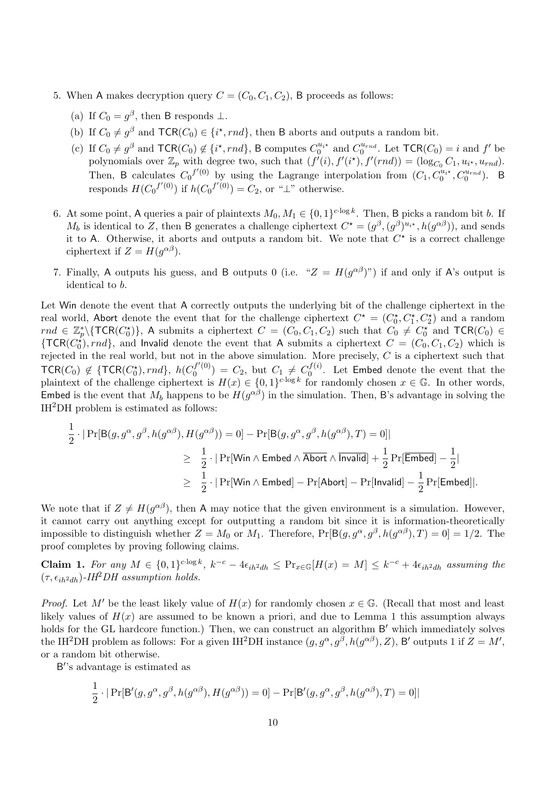- 5. When A makes decryption query  $C = (C_0, C_1, C_2)$ , B proceeds as follows:
	- (a) If  $C_0 = g^{\beta}$ , then B responds  $\perp$ .
	- (b) If  $C_0 \neq g^{\beta}$  and  $\mathsf{TCR}(C_0) \in \{i^*, rnd\}$ , then B aborts and outputs a random bit.
	- (c) If  $C_0 \neq g^{\beta}$  and  $\mathsf{TCR}(C_0) \notin \{i^*, rnd\}$ , B computes  $C_0^{u_{i^*}}$  and  $C_0^{u_{rnd}}$ . Let  $\mathsf{TCR}(C_0) = i$  and  $f'$  be polynomials over  $\mathbb{Z}_p$  with degree two, such that  $(f'(i), f'(i^*), f'(rnd)) = (\log_{C_0} C_1, u_{i^*}, u_{rnd})$ . Then, B calculates  $C_0^{f'(0)}$  by using the Lagrange interpolation from  $(C_1, C_0^{u_{i*}}, C_0^{u_{rnd}})$ . B responds  $H(C_0^{f'(0)})$  if  $h(C_0^{f'(0)}) = C_2$ , or "⊥" otherwise.
- 6. At some point, A queries a pair of plaintexts  $M_0, M_1 \in \{0, 1\}^{c \cdot \log k}$ . Then, B picks a random bit b. If  $M_b$  is identical to Z, then B generates a challenge ciphertext  $C^* = (g^{\beta}, (g^{\beta})^{u_{i*}}, h(g^{\alpha\beta}))$ , and sends it to A. Otherwise, it aborts and outputs a random bit. We note that  $C^*$  is a correct challenge ciphertext if  $Z = H(g^{\alpha\beta}).$
- 7. Finally, A outputs his guess, and B outputs 0 (i.e. " $Z = H(g^{\alpha\beta})$ ") if and only if A's output is identical to b.

Let Win denote the event that A correctly outputs the underlying bit of the challenge ciphertext in the real world, Abort denote the event that for the challenge ciphertext  $C^* = (C_0^*, C_1^*, C_2^*)$  and a random  $rnd \in \mathbb{Z}_p^*\setminus{\{\textsf{TCR}(C_0^*)\}},\$  A submits a ciphertext  $C = (C_0, C_1, C_2)$  such that  $C_0 \neq C_0^*$  and  $\textsf{TCR}(C_0) \in$  ${\rm TCR}(C_0^*), rnd\}$ , and Invalid denote the event that A submits a ciphertext  $C = (C_0, C_1, C_2)$  which is rejected in the real world, but not in the above simulation. More precisely,  $C$  is a ciphertext such that  $\mathsf{TCR}(C_0) \not\in \{\mathsf{TCR}(C_0^{\star}), rnd\},\ h(C_0^{f'(0)})$  $C_0^{f'(0)}$  =  $C_2$ , but  $C_1 \neq C_0^{f(i)}$  $\int_0^{f(t)}$ . Let **Embed** denote the event that the plaintext of the challenge ciphertext is  $H(x) \in \{0,1\}^{c \cdot \log k}$  for randomly chosen  $x \in \mathbb{G}$ . In other words, Embed is the event that  $M_b$  happens to be  $H(g^{\alpha\beta})$  in the simulation. Then, B's advantage in solving the IH2DH problem is estimated as follows:

$$
\frac{1}{2} \cdot |\Pr[\mathsf{B}(g, g^{\alpha}, g^{\beta}, h(g^{\alpha \beta}), H(g^{\alpha \beta})) = 0] - \Pr[\mathsf{B}(g, g^{\alpha}, g^{\beta}, h(g^{\alpha \beta}), T) = 0]|
$$
\n
$$
\geq \frac{1}{2} \cdot |\Pr[\mathsf{Win} \land \mathsf{Embed} \land \overline{\mathsf{Abort}} \land \overline{\mathsf{Invalid}}] + \frac{1}{2} \Pr[\mathsf{Embed}] - \frac{1}{2}|
$$
\n
$$
\geq \frac{1}{2} \cdot |\Pr[\mathsf{Win} \land \mathsf{Embed}] - \Pr[\mathsf{Abort}] - \Pr[\mathsf{Invalid}] - \frac{1}{2} \Pr[\mathsf{Embed}].
$$

We note that if  $Z \neq H(g^{\alpha\beta})$ , then A may notice that the given environment is a simulation. However, it cannot carry out anything except for outputting a random bit since it is information-theoretically impossible to distinguish whether  $Z = M_0$  or  $M_1$ . Therefore,  $Pr[B(g, g^{\alpha}, g^{\beta}, h(g^{\alpha\beta}), T) = 0] = 1/2$ . The proof completes by proving following claims.

**Claim 1.** For any  $M \in \{0,1\}^{c \cdot \log k}$ ,  $k^{-c} - 4\epsilon_{ih}a_{dh} \leq \Pr_{x \in \mathbb{G}}[H(x) = M] \leq k^{-c} + 4\epsilon_{ih}a_{dh}$  assuming the  $(\tau, \epsilon_{ih^2dh})$ -IH<sup>2</sup>DH assumption holds.

*Proof.* Let M' be the least likely value of  $H(x)$  for randomly chosen  $x \in \mathbb{G}$ . (Recall that most and least likely values of  $H(x)$  are assumed to be known a priori, and due to Lemma 1 this assumption always holds for the GL hardcore function.) Then, we can construct an algorithm B' which immediately solves the IH<sup>2</sup>DH problem as follows: For a given IH<sup>2</sup>DH instance  $(g, g^{\alpha}, g^{\beta}, h(g^{\alpha\beta}), Z)$ , B' outputs 1 if  $Z = M'$ , or a random bit otherwise.

B"s advantage is estimated as

$$
\frac{1}{2} \cdot |\Pr[\mathsf{B}'(g, g^{\alpha}, g^{\beta}, h(g^{\alpha\beta}), H(g^{\alpha\beta})) = 0] - \Pr[\mathsf{B}'(g, g^{\alpha}, g^{\beta}, h(g^{\alpha\beta}), T) = 0]|
$$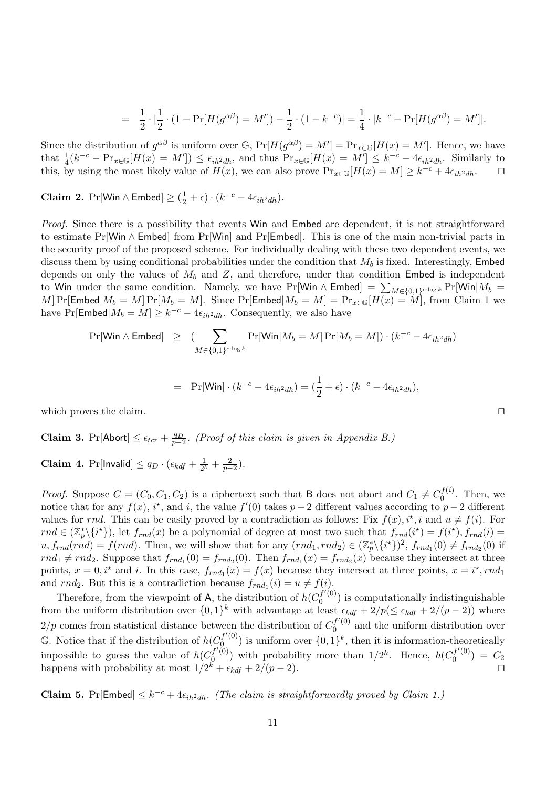$$
= \frac{1}{2} \cdot |\frac{1}{2} \cdot (1 - \Pr[H(g^{\alpha \beta}) = M']) - \frac{1}{2} \cdot (1 - k^{-c})| = \frac{1}{4} \cdot |k^{-c} - \Pr[H(g^{\alpha \beta}) = M']|.
$$

Since the distribution of  $g^{\alpha\beta}$  is uniform over  $\mathbb{G}$ ,  $Pr[H(g^{\alpha\beta}) = M'] = Pr_{x \in \mathbb{G}}[H(x) = M']$ . Hence, we have that  $\frac{1}{4}(k^{-c} - \Pr_{x \in \mathbb{G}}[H(x) = M']) \le \epsilon_{ih^2dh}$ , and thus  $\Pr_{x \in \mathbb{G}}[H(x) = M'] \le k^{-c} - 4\epsilon_{ih^2dh}$ . Similarly to this, by using the most likely value of  $H(x)$ , we can also prove  $Pr_{x \in \mathbb{G}}[H(x) = M] \geq k^{-c} + 4\epsilon_{ih^2dh}$ .  $\Box$ 

**Claim 2.**  $Pr[\text{Win} \wedge \text{Embed}] \geq (\frac{1}{2} + \epsilon) \cdot (k^{-c} - 4\epsilon_{ih^2dh}).$ 

Proof. Since there is a possibility that events Win and Embed are dependent, it is not straightforward to estimate Pr[Win ∧ Embed] from Pr[Win] and Pr[Embed]. This is one of the main non-trivial parts in the security proof of the proposed scheme. For individually dealing with these two dependent events, we discuss them by using conditional probabilities under the condition that  $M_b$  is fixed. Interestingly, Embed depends on only the values of  $M_b$  and  $Z$ , and therefore, under that condition Embed is independent to Win under the same condition. Namely, we have Pr[Win  $\wedge$  Embed] =  $\sum_{M\in\{0,1\}^{c\cdot\log k}}$  Pr[Win| $M_b$  = M] Pr[Embed $|M_b = M]$  Pr[ $M_b = M$ ]. Since Pr[Embed $|M_b = M] = Pr_{x \in \mathbb{G}}[H(x) = M]$ , from Claim 1 we have Pr[Embed $|M_b = M] \ge k^{-c} - 4\epsilon_{ih^2dh}$ . Consequently, we also have

$$
\Pr[\text{Win} \land \text{Embed}] \geq (\sum_{M \in \{0,1\}^{c \cdot \log k}} \Pr[\text{Win}|M_b = M] \Pr[M_b = M]) \cdot (k^{-c} - 4\epsilon_{ih}2_{dh})
$$

$$
= \Pr[\text{Win}] \cdot (k^{-c} - 4\epsilon_{ih}^2 a_h) = (\frac{1}{2} + \epsilon) \cdot (k^{-c} - 4\epsilon_{ih}^2 a_h),
$$

which proves the claim.  $\Box$ 

**Claim 3.** Pr[Abort] 
$$
\leq \epsilon_{tcr} + \frac{q_D}{p-2}
$$
. (Proof of this claim is given in Appendix B.)

**Claim 4.** Pr[Invalid]  $\leq q_D \cdot (\epsilon_{kdf} + \frac{1}{2^l})$  $\frac{1}{2^k} + \frac{2}{p-2}$ ).

*Proof.* Suppose  $C = (C_0, C_1, C_2)$  is a ciphertext such that B does not abort and  $C_1 \neq C_0^{f(i)}$  $\int_0^{U(t)}$ . Then, we notice that for any  $f(x)$ , i<sup>\*</sup>, and i, the value  $f'(0)$  takes  $p-2$  different values according to  $p-2$  different values for rnd. This can be easily proved by a contradiction as follows: Fix  $f(x)$ ,  $i^*$ , i and  $u \neq f(i)$ . For  $rnd \in (\mathbb{Z}_p^*\setminus \{i^*\})$ , let  $f_{rnd}(x)$  be a polynomial of degree at most two such that  $f_{rnd}(i^*) = f(i^*)$ ,  $f_{rnd}(i) =$  $u, f_{rnd}(rnd) = f(rnd)$ . Then, we will show that for any  $(rnd_1, rnd_2) \in (\mathbb{Z}_p^*\backslash \{i^*\})^2$ ,  $f_{rnd_1}(0) \neq f_{rnd_2}(0)$  if  $rnd_1 \neq rnd_2$ . Suppose that  $f_{rnd_1}(0) = f_{rnd_2}(0)$ . Then  $f_{rnd_1}(x) = f_{rnd_2}(x)$  because they intersect at three points,  $x = 0, i^*$  and i. In this case,  $f_{rnd_1}(x) = f(x)$  because they intersect at three points,  $x = i^*$ ,  $rnd_1$ and  $rnd_2$ . But this is a contradiction because  $f_{rnd_1}(i) = u \neq f(i)$ .

Therefore, from the viewpoint of A, the distribution of  $h(C_0^{f'(0)})$  $\binom{d}{0}$  is computationally indistinguishable from the uniform distribution over  $\{0,1\}^k$  with advantage at least  $\epsilon_{kdf} + 2/p(\leq \epsilon_{kdf} + 2/(p-2))$  where  $2/p$  comes from statistical distance between the distribution of  $C_0^{f'(0)}$  and the uniform distribution over 0  $\mathbb{G}$ . Notice that if the distribution of  $h(C_0^{f'(0)})$  $\binom{f'(0)}{0}$  is uniform over  $\{0,1\}^k$ , then it is information-theoretically impossible to guess the value of  $h(C_0^{f'(\tilde{0})})$  $\mathcal{L}_{0}^{(f'(0))}$  with probability more than  $1/2^k$ . Hence,  $h(C_0^{f'(0)})$  $C_0^{(1)}(0) = C_2$ happens with probability at most  $1/2^k + \epsilon_{kdf} + 2/(p-2)$ .

**Claim 5.** Pr[Embed]  $\leq k^{-c} + 4\epsilon_{ih^2dh}$ . (The claim is straightforwardly proved by Claim 1.)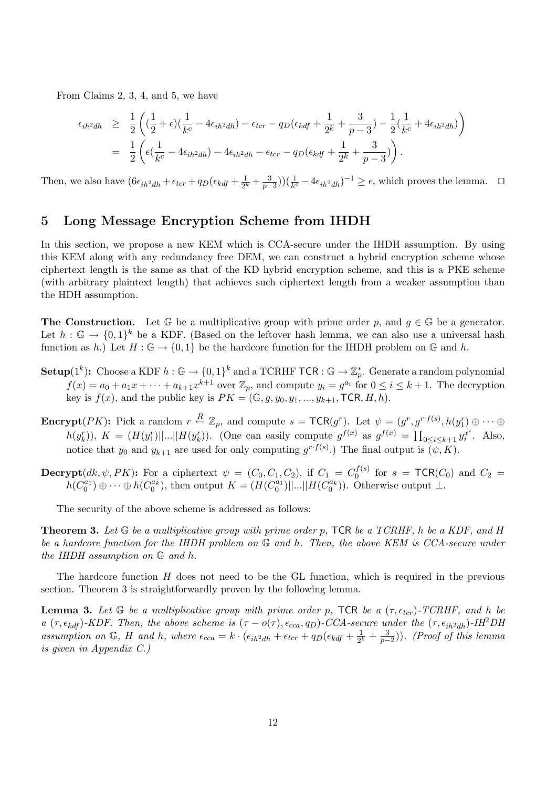From Claims 2, 3, 4, and 5, we have

$$
\epsilon_{ih^2dh} \geq \frac{1}{2} \left( (\frac{1}{2} + \epsilon)(\frac{1}{k^c} - 4\epsilon_{ih^2dh}) - \epsilon_{tcr} - q_D(\epsilon_{kdf} + \frac{1}{2^k} + \frac{3}{p-3}) - \frac{1}{2}(\frac{1}{k^c} + 4\epsilon_{ih^2dh}) \right)
$$
  
=  $\frac{1}{2} \left( \epsilon(\frac{1}{k^c} - 4\epsilon_{ih^2dh}) - 4\epsilon_{ih^2dh} - \epsilon_{tcr} - q_D(\epsilon_{kdf} + \frac{1}{2^k} + \frac{3}{p-3}) \right).$ 

Then, we also have  $(6\epsilon_{ih}a_{dh} + \epsilon_{ter} + q_D(\epsilon_{kdf} + \frac{1}{2^l})$  $(\frac{1}{2^k} + \frac{3}{p-3}))(\frac{1}{k^c} - 4\epsilon_{ih^2dh})^{-1} \ge \epsilon$ , which proves the lemma. □

## 5 Long Message Encryption Scheme from IHDH

In this section, we propose a new KEM which is CCA-secure under the IHDH assumption. By using this KEM along with any redundancy free DEM, we can construct a hybrid encryption scheme whose ciphertext length is the same as that of the KD hybrid encryption scheme, and this is a PKE scheme (with arbitrary plaintext length) that achieves such ciphertext length from a weaker assumption than the HDH assumption.

**The Construction.** Let  $\mathbb{G}$  be a multiplicative group with prime order p, and  $q \in \mathbb{G}$  be a generator. Let  $h: \mathbb{G} \to \{0,1\}^k$  be a KDF. (Based on the leftover hash lemma, we can also use a universal hash function as h.) Let  $H: \mathbb{G} \to \{0,1\}$  be the hardcore function for the IHDH problem on  $\mathbb{G}$  and h.

- ${\bf Setup}(1^k) \colon$  Choose a KDF  $h: \mathbb{G} \to \{0,1\}^k$  and a TCRHF  ${\sf TCR}: \mathbb{G} \to \mathbb{Z}_p^*$ . Generate a random polynomial  $f(x) = a_0 + a_1x + \cdots + a_{k+1}x^{k+1}$  over  $\mathbb{Z}_p$ , and compute  $y_i = g^{a_i}$  for  $0 \le i \le k+1$ . The decryption key is  $f(x)$ , and the public key is  $PK = (\mathbb{G}, g, y_0, y_1, \ldots, y_{k+1}, \textsf{TCR}, H, h)$ .
- Encrypt $(PK)$ : Pick a random  $r \stackrel{R}{\leftarrow} \mathbb{Z}_p$ , and compute  $s = \mathsf{TCR}(g^r)$ . Let  $\psi = (g^r, g^{r \cdot f(s)}, h(y_1^r) \oplus \cdots \oplus h(y_n^r))$  $h(y_k^r)$ ,  $K = (H(y_1^r)||...||H(y_k^r))$ . (One can easily compute  $g^{f(x)}$  as  $g^{f(x)} = \prod_{0 \le i \le k+1} y_i^{x_i^i}$  $a_i^{x^i}$ . Also, notice that  $y_0$  and  $y_{k+1}$  are used for only computing  $g^{r \cdot f(s)}$ .) The final output is  $(\psi, K)$ .

**Decrypt**(dk,  $\psi$ , PK): For a ciphertext  $\psi = (C_0, C_1, C_2)$ , if  $C_1 = C_0^{f(s)}$  $_{0}^{(J(s))}$  for  $s = \textsf{TCR}(C_0)$  and  $C_2 =$  $h(C_0^{a_1}) \oplus \cdots \oplus h(C_0^{a_k})$ , then output  $K = (H(C_0^{a_1})||...||H(C_0^{a_k}))$ . Otherwise output  $\perp$ .

The security of the above scheme is addressed as follows:

**Theorem 3.** Let  $G$  be a multiplicative group with prime order p, TCR be a TCRHF, h be a KDF, and H be a hardcore function for the IHDH problem on G and h. Then, the above KEM is CCA-secure under the IHDH assumption on G and h.

The hardcore function  $H$  does not need to be the GL function, which is required in the previous section. Theorem 3 is straightforwardly proven by the following lemma.

**Lemma 3.** Let G be a multiplicative group with prime order p, TCR be a  $(\tau, \epsilon_{tor})$ -TCRHF, and h be a ( $\tau$ ,  $\epsilon_{kdf}$ )-KDF. Then, the above scheme is ( $\tau$  – o( $\tau$ ),  $\epsilon_{cca}$ ,  $q_D$ )-CCA-secure under the ( $\tau$ ,  $\epsilon_{ih^2dh}$ )-IH<sup>2</sup>DH assumption on G, H and h, where  $\epsilon_{cca} = k \cdot (\epsilon_{ih}^2 a_h + \epsilon_{tor} + q_D(\epsilon_{kdf} + \frac{1}{2l})$  $(\frac{1}{2^k} + \frac{3}{p-2})$ ). (Proof of this lemma is given in Appendix C.)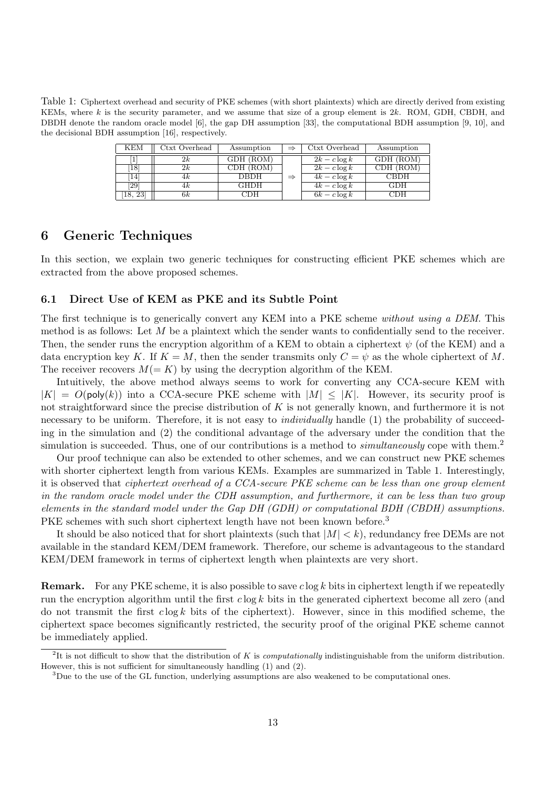Table 1: Ciphertext overhead and security of PKE schemes (with short plaintexts) which are directly derived from existing KEMs, where  $k$  is the security parameter, and we assume that size of a group element is  $2k$ . ROM, GDH, CBDH, and DBDH denote the random oracle model [6], the gap DH assumption [33], the computational BDH assumption [9, 10], and the decisional BDH assumption [16], respectively.

| KEM                | Ctxt Overhead | Assumption  | ⇒             | Ctxt Overhead   | Assumption  |
|--------------------|---------------|-------------|---------------|-----------------|-------------|
| 1                  | 2k            | GDH (ROM)   |               | $2k - c \log k$ | GDH (ROM)   |
| 18                 | 2k            | CDH (ROM)   |               | $2k - c \log k$ | CDH (ROM)   |
| 14                 | 4k            | <b>DBDH</b> | $\Rightarrow$ | $4k - c \log k$ | <b>CBDH</b> |
| $\left[ 29\right]$ | 4k            | GHDH        |               | $4k - c \log k$ | <b>GDH</b>  |
| -23<br>18.         | 6k            | CDH         |               | $6k - c \log k$ | CDH         |

## 6 Generic Techniques

In this section, we explain two generic techniques for constructing efficient PKE schemes which are extracted from the above proposed schemes.

#### 6.1 Direct Use of KEM as PKE and its Subtle Point

The first technique is to generically convert any KEM into a PKE scheme without using a DEM. This method is as follows: Let  $M$  be a plaintext which the sender wants to confidentially send to the receiver. Then, the sender runs the encryption algorithm of a KEM to obtain a ciphertext  $\psi$  (of the KEM) and a data encryption key K. If  $K = M$ , then the sender transmits only  $C = \psi$  as the whole ciphertext of M. The receiver recovers  $M(= K)$  by using the decryption algorithm of the KEM.

Intuitively, the above method always seems to work for converting any CCA-secure KEM with  $|K| = O(\text{poly}(k))$  into a CCA-secure PKE scheme with  $|M| \leq |K|$ . However, its security proof is not straightforward since the precise distribution of  $K$  is not generally known, and furthermore it is not necessary to be uniform. Therefore, it is not easy to *individually* handle (1) the probability of succeeding in the simulation and (2) the conditional advantage of the adversary under the condition that the simulation is succeeded. Thus, one of our contributions is a method to *simultaneously* cope with them.<sup>2</sup>

Our proof technique can also be extended to other schemes, and we can construct new PKE schemes with shorter ciphertext length from various KEMs. Examples are summarized in Table 1. Interestingly, it is observed that ciphertext overhead of a CCA-secure PKE scheme can be less than one group element in the random oracle model under the CDH assumption, and furthermore, it can be less than two group elements in the standard model under the Gap DH (GDH) or computational BDH (CBDH) assumptions. PKE schemes with such short ciphertext length have not been known before.<sup>3</sup>

It should be also noticed that for short plaintexts (such that  $|M| < k$ ), redundancy free DEMs are not available in the standard KEM/DEM framework. Therefore, our scheme is advantageous to the standard KEM/DEM framework in terms of ciphertext length when plaintexts are very short.

**Remark.** For any PKE scheme, it is also possible to save  $c \log k$  bits in ciphertext length if we repeatedly run the encryption algorithm until the first  $c \log k$  bits in the generated ciphertext become all zero (and do not transmit the first  $c \log k$  bits of the ciphertext). However, since in this modified scheme, the ciphertext space becomes significantly restricted, the security proof of the original PKE scheme cannot be immediately applied.

<sup>&</sup>lt;sup>2</sup>It is not difficult to show that the distribution of K is *computationally* indistinguishable from the uniform distribution. However, this is not sufficient for simultaneously handling (1) and (2).

<sup>&</sup>lt;sup>3</sup>Due to the use of the GL function, underlying assumptions are also weakened to be computational ones.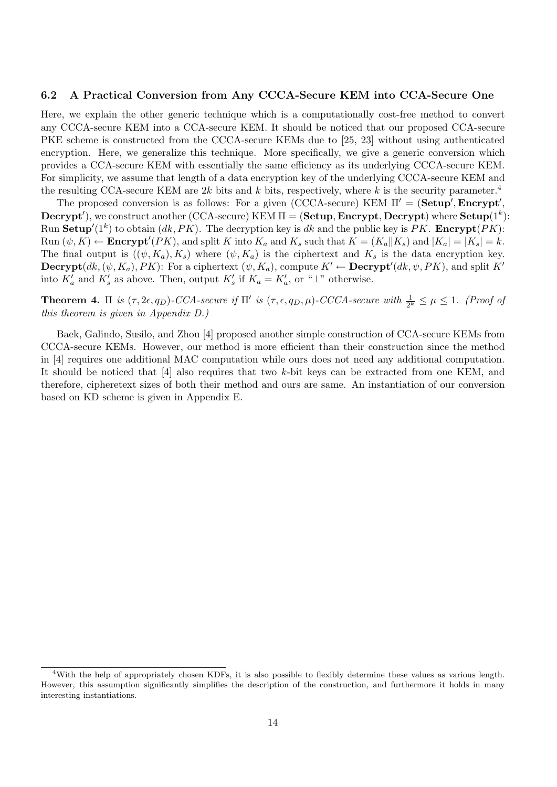#### 6.2 A Practical Conversion from Any CCCA-Secure KEM into CCA-Secure One

Here, we explain the other generic technique which is a computationally cost-free method to convert any CCCA-secure KEM into a CCA-secure KEM. It should be noticed that our proposed CCA-secure PKE scheme is constructed from the CCCA-secure KEMs due to [25, 23] without using authenticated encryption. Here, we generalize this technique. More specifically, we give a generic conversion which provides a CCA-secure KEM with essentially the same efficiency as its underlying CCCA-secure KEM. For simplicity, we assume that length of a data encryption key of the underlying CCCA-secure KEM and the resulting CCA-secure KEM are 2k bits and k bits, respectively, where k is the security parameter.<sup>4</sup>

The proposed conversion is as follows: For a given (CCCA-secure) KEM  $\Pi' = (\textbf{Setup}', \textbf{Encrypt}',$  $\mathbf{Decrypt}^{\prime}),$  we construct another (CCA-secure) KEM  $\Pi = (\mathbf{Setup},\mathbf{Encrypt},\mathbf{Decrypt})$  where  $\mathbf{Setup}(1^k)$ : Run Setup'( $1^k$ ) to obtain  $(dk, PK)$ . The decryption key is dk and the public key is PK. Encrypt( $PK$ ): Run  $(\psi, K) \leftarrow$  **Encrypt'**(*PK*), and split K into  $K_a$  and  $K_s$  such that  $K = (K_a || K_s)$  and  $|K_a| = |K_s| = k$ . The final output is  $((\psi, K_a), K_s)$  where  $(\psi, K_a)$  is the ciphertext and  $K_s$  is the data encryption key. **Decrypt** $(dk, (\psi, K_a), PK)$ : For a ciphertext  $(\psi, K_a)$ , compute  $K' \leftarrow$  **Decrypt'** $(dk, \psi, PK)$ , and split  $K'$ into  $K_a'$  and  $K_s'$  as above. Then, output  $K_s'$  if  $K_a = K_a'$ , or "⊥" otherwise.

**Theorem 4.**  $\Pi$  is  $(\tau, 2\epsilon, q_D)$ -CCA-secure if  $\Pi'$  is  $(\tau, \epsilon, q_D, \mu)$ -CCCA-secure with  $\frac{1}{2^k} \leq \mu \leq 1$ . (Proof of this theorem is given in Appendix D.)

Baek, Galindo, Susilo, and Zhou [4] proposed another simple construction of CCA-secure KEMs from CCCA-secure KEMs. However, our method is more efficient than their construction since the method in [4] requires one additional MAC computation while ours does not need any additional computation. It should be noticed that [4] also requires that two k-bit keys can be extracted from one KEM, and therefore, cipheretext sizes of both their method and ours are same. An instantiation of our conversion based on KD scheme is given in Appendix E.

<sup>4</sup>With the help of appropriately chosen KDFs, it is also possible to flexibly determine these values as various length. However, this assumption significantly simplifies the description of the construction, and furthermore it holds in many interesting instantiations.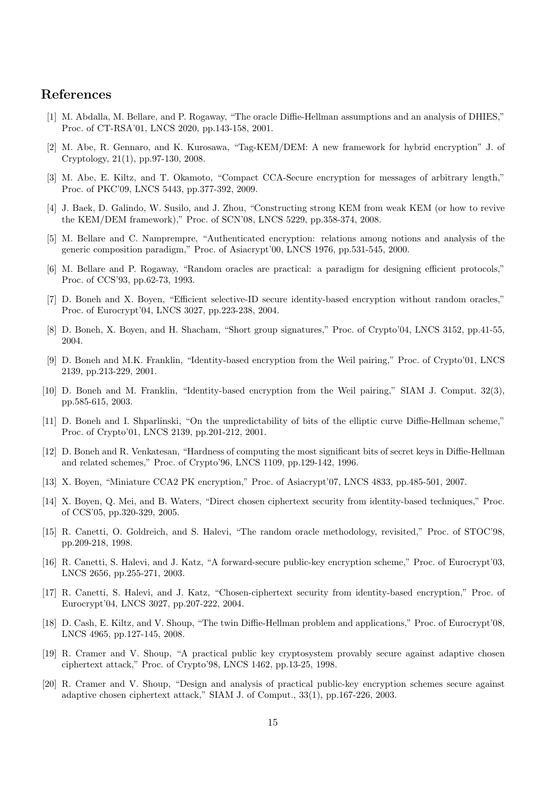## References

- [1] M. Abdalla, M. Bellare, and P. Rogaway, "The oracle Diffie-Hellman assumptions and an analysis of DHIES," Proc. of CT-RSA'01, LNCS 2020, pp.143-158, 2001.
- [2] M. Abe, R. Gennaro, and K. Kurosawa, "Tag-KEM/DEM: A new framework for hybrid encryption" J. of Cryptology, 21(1), pp.97-130, 2008.
- [3] M. Abe, E. Kiltz, and T. Okamoto, "Compact CCA-Secure encryption for messages of arbitrary length," Proc. of PKC'09, LNCS 5443, pp.377-392, 2009.
- [4] J. Baek, D. Galindo, W. Susilo, and J. Zhou, "Constructing strong KEM from weak KEM (or how to revive the KEM/DEM framework)," Proc. of SCN'08, LNCS 5229, pp.358-374, 2008.
- [5] M. Bellare and C. Namprempre, "Authenticated encryption: relations among notions and analysis of the generic composition paradigm," Proc. of Asiacrypt'00, LNCS 1976, pp.531-545, 2000.
- [6] M. Bellare and P. Rogaway, "Random oracles are practical: a paradigm for designing efficient protocols," Proc. of CCS'93, pp.62-73, 1993.
- [7] D. Boneh and X. Boyen, "Efficient selective-ID secure identity-based encryption without random oracles," Proc. of Eurocrypt'04, LNCS 3027, pp.223-238, 2004.
- [8] D. Boneh, X. Boyen, and H. Shacham, "Short group signatures," Proc. of Crypto'04, LNCS 3152, pp.41-55, 2004.
- [9] D. Boneh and M.K. Franklin, "Identity-based encryption from the Weil pairing," Proc. of Crypto'01, LNCS 2139, pp.213-229, 2001.
- [10] D. Boneh and M. Franklin, "Identity-based encryption from the Weil pairing," SIAM J. Comput. 32(3), pp.585-615, 2003.
- [11] D. Boneh and I. Shparlinski, "On the unpredictability of bits of the elliptic curve Diffie-Hellman scheme," Proc. of Crypto'01, LNCS 2139, pp.201-212, 2001.
- [12] D. Boneh and R. Venkatesan, "Hardness of computing the most significant bits of secret keys in Diffie-Hellman and related schemes," Proc. of Crypto'96, LNCS 1109, pp.129-142, 1996.
- [13] X. Boyen, "Miniature CCA2 PK encryption," Proc. of Asiacrypt'07, LNCS 4833, pp.485-501, 2007.
- [14] X. Boyen, Q. Mei, and B. Waters, "Direct chosen ciphertext security from identity-based techniques," Proc. of CCS'05, pp.320-329, 2005.
- [15] R. Canetti, O. Goldreich, and S. Halevi, "The random oracle methodology, revisited," Proc. of STOC'98, pp.209-218, 1998.
- [16] R. Canetti, S. Halevi, and J. Katz, "A forward-secure public-key encryption scheme," Proc. of Eurocrypt'03, LNCS 2656, pp.255-271, 2003.
- [17] R. Canetti, S. Halevi, and J. Katz, "Chosen-ciphertext security from identity-based encryption," Proc. of Eurocrypt'04, LNCS 3027, pp.207-222, 2004.
- [18] D. Cash, E. Kiltz, and V. Shoup, "The twin Diffie-Hellman problem and applications," Proc. of Eurocrypt'08, LNCS 4965, pp.127-145, 2008.
- [19] R. Cramer and V. Shoup, "A practical public key cryptosystem provably secure against adaptive chosen ciphertext attack," Proc. of Crypto'98, LNCS 1462, pp.13-25, 1998.
- [20] R. Cramer and V. Shoup, "Design and analysis of practical public-key encryption schemes secure against adaptive chosen ciphertext attack," SIAM J. of Comput., 33(1), pp.167-226, 2003.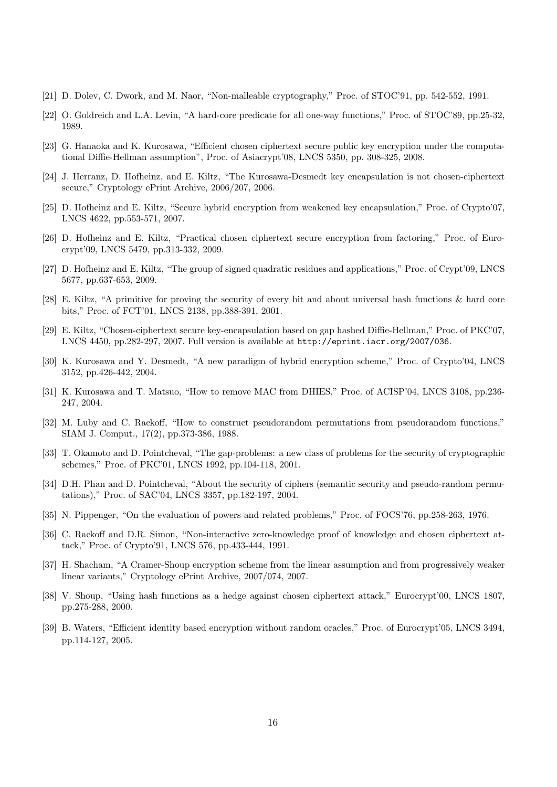- [21] D. Dolev, C. Dwork, and M. Naor, "Non-malleable cryptography," Proc. of STOC'91, pp. 542-552, 1991.
- [22] O. Goldreich and L.A. Levin, "A hard-core predicate for all one-way functions," Proc. of STOC'89, pp.25-32, 1989.
- [23] G. Hanaoka and K. Kurosawa, "Efficient chosen ciphertext secure public key encryption under the computational Diffie-Hellman assumption", Proc. of Asiacrypt'08, LNCS 5350, pp. 308-325, 2008.
- [24] J. Herranz, D. Hofheinz, and E. Kiltz, "The Kurosawa-Desmedt key encapsulation is not chosen-ciphertext secure," Cryptology ePrint Archive, 2006/207, 2006.
- [25] D. Hofheinz and E. Kiltz, "Secure hybrid encryption from weakened key encapsulation," Proc. of Crypto'07, LNCS 4622, pp.553-571, 2007.
- [26] D. Hofheinz and E. Kiltz, "Practical chosen ciphertext secure encryption from factoring," Proc. of Eurocrypt'09, LNCS 5479, pp.313-332, 2009.
- [27] D. Hofheinz and E. Kiltz, "The group of signed quadratic residues and applications," Proc. of Crypt'09, LNCS 5677, pp.637-653, 2009.
- [28] E. Kiltz, "A primitive for proving the security of every bit and about universal hash functions & hard core bits," Proc. of FCT'01, LNCS 2138, pp.388-391, 2001.
- [29] E. Kiltz, "Chosen-ciphertext secure key-encapsulation based on gap hashed Diffie-Hellman," Proc. of PKC'07, LNCS 4450, pp.282-297, 2007. Full version is available at http://eprint.iacr.org/2007/036.
- [30] K. Kurosawa and Y. Desmedt, "A new paradigm of hybrid encryption scheme," Proc. of Crypto'04, LNCS 3152, pp.426-442, 2004.
- [31] K. Kurosawa and T. Matsuo, "How to remove MAC from DHIES," Proc. of ACISP'04, LNCS 3108, pp.236- 247, 2004.
- [32] M. Luby and C. Rackoff, "How to construct pseudorandom permutations from pseudorandom functions," SIAM J. Comput., 17(2), pp.373-386, 1988.
- [33] T. Okamoto and D. Pointcheval, "The gap-problems: a new class of problems for the security of cryptographic schemes," Proc. of PKC'01, LNCS 1992, pp.104-118, 2001.
- [34] D.H. Phan and D. Pointcheval, "About the security of ciphers (semantic security and pseudo-random permutations)," Proc. of SAC'04, LNCS 3357, pp.182-197, 2004.
- [35] N. Pippenger, "On the evaluation of powers and related problems," Proc. of FOCS'76, pp.258-263, 1976.
- [36] C. Rackoff and D.R. Simon, "Non-interactive zero-knowledge proof of knowledge and chosen ciphertext attack," Proc. of Crypto'91, LNCS 576, pp.433-444, 1991.
- [37] H. Shacham, "A Cramer-Shoup encryption scheme from the linear assumption and from progressively weaker linear variants," Cryptology ePrint Archive, 2007/074, 2007.
- [38] V. Shoup, "Using hash functions as a hedge against chosen ciphertext attack," Eurocrypt'00, LNCS 1807, pp.275-288, 2000.
- [39] B. Waters, "Efficient identity based encryption without random oracles," Proc. of Eurocrypt'05, LNCS 3494, pp.114-127, 2005.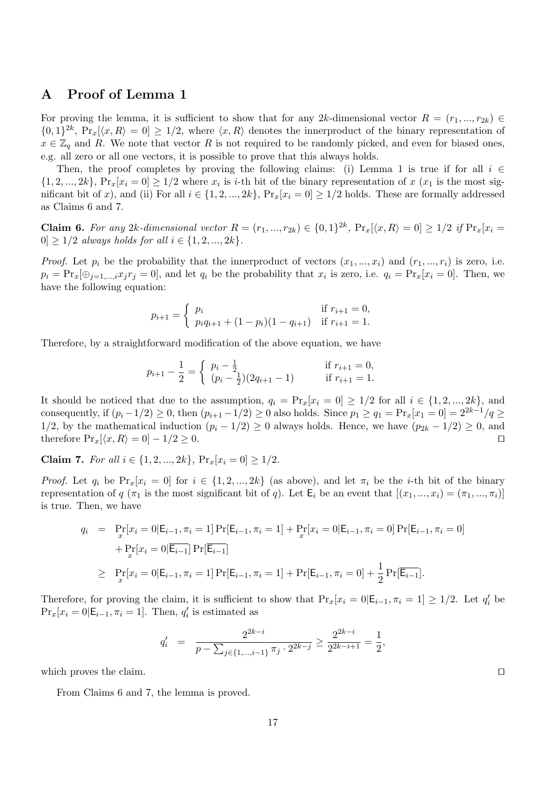# A Proof of Lemma 1

For proving the lemma, it is sufficient to show that for any 2k-dimensional vector  $R = (r_1, ..., r_{2k}) \in$  $\{0,1\}^{2k}$ ,  $Pr_x[\langle x,R\rangle = 0] \ge 1/2$ , where  $\langle x,R\rangle$  denotes the innerproduct of the binary representation of  $x \in \mathbb{Z}_q$  and R. We note that vector R is not required to be randomly picked, and even for biased ones, e.g. all zero or all one vectors, it is possible to prove that this always holds.

Then, the proof completes by proving the following claims: (i) Lemma 1 is true if for all  $i \in$  $\{1, 2, ..., 2k\}, \Pr_x[x_i = 0] \ge 1/2$  where  $x_i$  is *i*-th bit of the binary representation of x  $(x_1$  is the most significant bit of x), and (ii) For all  $i \in \{1, 2, ..., 2k\}$ ,  $Pr_x[x_i = 0] \ge 1/2$  holds. These are formally addressed as Claims 6 and 7.

**Claim 6.** For any 2k-dimensional vector  $R = (r_1, ..., r_{2k}) \in \{0, 1\}^{2k}$ ,  $Pr_x[\langle x, R \rangle = 0] \ge 1/2$  if  $Pr_x[x_i =$  $0 \geq 1/2$  always holds for all  $i \in \{1, 2, ..., 2k\}.$ 

*Proof.* Let  $p_i$  be the probability that the innerproduct of vectors  $(x_1, ..., x_i)$  and  $(r_1, ..., r_i)$  is zero, i.e.  $p_i = \Pr_x[\oplus_{j=1,\dots,i} x_j r_j = 0]$ , and let  $q_i$  be the probability that  $x_i$  is zero, i.e.  $q_i = \Pr_x[x_i = 0]$ . Then, we have the following equation:

$$
p_{i+1} = \begin{cases} p_i & \text{if } r_{i+1} = 0, \\ p_i q_{i+1} + (1 - p_i)(1 - q_{i+1}) & \text{if } r_{i+1} = 1. \end{cases}
$$

Therefore, by a straightforward modification of the above equation, we have

$$
p_{i+1} - \frac{1}{2} = \begin{cases} p_i - \frac{1}{2} & \text{if } r_{i+1} = 0, \\ (p_i - \frac{1}{2})(2q_{i+1} - 1) & \text{if } r_{i+1} = 1. \end{cases}
$$

It should be noticed that due to the assumption,  $q_i = \Pr_x[x_i = 0] \ge 1/2$  for all  $i \in \{1, 2, ..., 2k\}$ , and consequently, if  $(p_i-1/2) \ge 0$ , then  $(p_{i+1}-1/2) \ge 0$  also holds. Since  $p_1 \ge q_1 = \Pr_x[x_1 = 0] = 2^{2k-1}/q \ge$ 1/2, by the mathematical induction  $(p_i - 1/2) \ge 0$  always holds. Hence, we have  $(p_{2k} - 1/2) \ge 0$ , and therefore  $Pr_x[\langle x, R \rangle = 0] - 1/2 \ge 0.$ 

Claim 7. For all  $i \in \{1, 2, ..., 2k\}$ ,  $Pr_x[x_i = 0] \ge 1/2$ .

*Proof.* Let  $q_i$  be  $Pr_x[x_i = 0]$  for  $i \in \{1, 2, ..., 2k\}$  (as above), and let  $\pi_i$  be the *i*-th bit of the binary representation of q ( $\pi_1$  is the most significant bit of q). Let  $\mathsf{E}_i$  be an event that  $[(x_1, ..., x_i) = (\pi_1, ..., \pi_i)]$ is true. Then, we have

$$
q_i = \Pr_x[x_i = 0 | \mathsf{E}_{i-1}, \pi_i = 1] \Pr[\mathsf{E}_{i-1}, \pi_i = 1] + \Pr_x[x_i = 0 | \mathsf{E}_{i-1}, \pi_i = 0] \Pr[\mathsf{E}_{i-1}, \pi_i = 0] + \Pr_x[x_i = 0 | \overline{\mathsf{E}_{i-1}}] \Pr[\overline{\mathsf{E}_{i-1}}]
$$
  
\n
$$
\geq \Pr_x[x_i = 0 | \mathsf{E}_{i-1}, \pi_i = 1] \Pr[\mathsf{E}_{i-1}, \pi_i = 1] + \Pr[\mathsf{E}_{i-1}, \pi_i = 0] + \frac{1}{2} \Pr[\overline{\mathsf{E}_{i-1}}].
$$

Therefore, for proving the claim, it is sufficient to show that  $Pr_x[x_i = 0|\mathsf{E}_{i-1}, \pi_i = 1] \ge 1/2$ . Let  $q'_i$  be  $Pr_x[x_i = 0 | \mathsf{E}_{i-1}, \pi_i = 1].$  Then,  $q'_i$  is estimated as

$$
q'_{i} = \frac{2^{2k-i}}{p - \sum_{j \in \{1, \dots, i-1\}} \pi_j \cdot 2^{2k-j}} \ge \frac{2^{2k-i}}{2^{2k-i+1}} = \frac{1}{2},
$$

which proves the claim.

From Claims 6 and 7, the lemma is proved.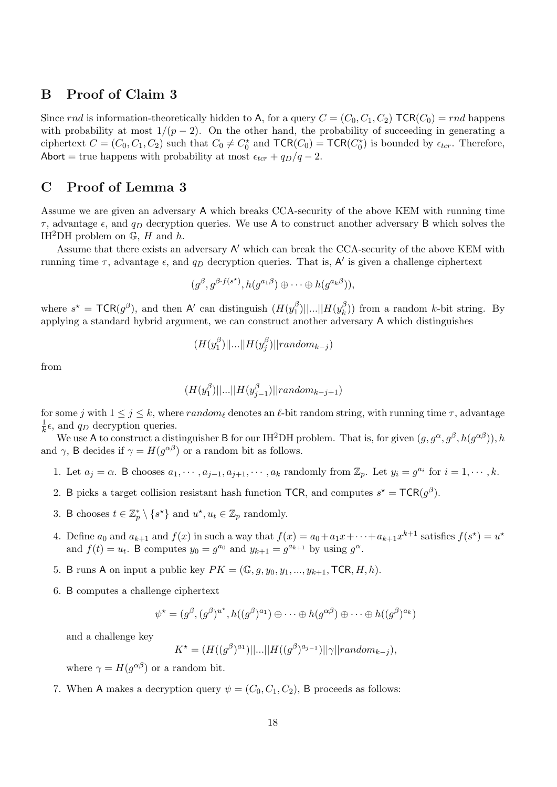## B Proof of Claim 3

Since rnd is information-theoretically hidden to A, for a query  $C = (C_0, C_1, C_2)$  TCR( $C_0$ ) = rnd happens with probability at most  $1/(p-2)$ . On the other hand, the probability of succeeding in generating a ciphertext  $C = (C_0, C_1, C_2)$  such that  $C_0 \neq C_0^*$  and  $TCR(C_0) = TCR(C_0^*)$  is bounded by  $\epsilon_{ter}$ . Therefore, Abort = true happens with probability at most  $\epsilon_{tcr} + q_D/q - 2$ .

# C Proof of Lemma 3

Assume we are given an adversary A which breaks CCA-security of the above KEM with running time  $\tau$ , advantage  $\epsilon$ , and  $q_D$  decryption queries. We use A to construct another adversary B which solves the IH<sup>2</sup>DH problem on  $\mathbb{G}$ , H and h.

Assume that there exists an adversary A' which can break the CCA-security of the above KEM with running time  $\tau$ , advantage  $\epsilon$ , and  $q_D$  decryption queries. That is, A' is given a challenge ciphertext

$$
(g^{\beta},g^{\beta\cdot f(s^{\star})},h(g^{a_1\beta})\oplus\cdots\oplus h(g^{a_k\beta})),
$$

where  $s^* = \textsf{TCR}(g^\beta)$ , and then A' can distinguish  $(H(y_1^\beta$  $|10^{\beta}|$ | $|...|$ | $H(y_k^{\beta})$  $(k)$ ) from a random k-bit string. By applying a standard hybrid argument, we can construct another adversary A which distinguishes

$$
(H(y_1^{\beta})||...||H(y_j^{\beta})||\n $random_{k-j})$
$$

from

$$
(H(y^{\beta}_1)||...||H(y^{\beta}_{j-1})||\mathit{random}_{k-j+1})
$$

for some j with  $1 \le j \le k$ , where random<sub>l</sub> denotes an  $\ell$ -bit random string, with running time  $\tau$ , advantage 1  $\frac{1}{k}\epsilon$ , and  $q_D$  decryption queries.

We use A to construct a distinguisher B for our IH<sup>2</sup>DH problem. That is, for given  $(g, g^{\alpha}, g^{\beta}, h(g^{\alpha\beta}))$ , h and  $\gamma$ , B decides if  $\gamma = H(g^{\alpha\beta})$  or a random bit as follows.

- 1. Let  $a_j = \alpha$ . B chooses  $a_1, \dots, a_{j-1}, a_{j+1}, \dots, a_k$  randomly from  $\mathbb{Z}_p$ . Let  $y_i = g^{a_i}$  for  $i = 1, \dots, k$ .
- 2. B picks a target collision resistant hash function TCR, and computes  $s^* = TCR(g^{\beta})$ .
- 3. B chooses  $t \in \mathbb{Z}_p^* \setminus \{s^{\star}\}\$ and  $u^{\star}, u_t \in \mathbb{Z}_p$  randomly.
- 4. Define  $a_0$  and  $a_{k+1}$  and  $f(x)$  in such a way that  $f(x) = a_0 + a_1x + \cdots + a_{k+1}x^{k+1}$  satisfies  $f(s^*) = u^*$ and  $f(t) = u_t$ . B computes  $y_0 = g^{a_0}$  and  $y_{k+1} = g^{a_{k+1}}$  by using  $g^{\alpha}$ .
- 5. B runs A on input a public key  $PK = (\mathbb{G}, g, y_0, y_1, ..., y_{k+1}, \text{TCR}, H, h)$ .
- 6. B computes a challenge ciphertext

$$
\psi^* = (g^{\beta}, (g^{\beta})^{u^*}, h((g^{\beta})^{a_1}) \oplus \cdots \oplus h(g^{\alpha \beta}) \oplus \cdots \oplus h((g^{\beta})^{a_k})
$$

and a challenge key

$$
K^* = (H((g^{\beta})^{a_1})||...||H((g^{\beta})^{a_{j-1}})||\gamma||random_{k-j}),
$$

where  $\gamma = H(g^{\alpha\beta})$  or a random bit.

7. When A makes a decryption query  $\psi = (C_0, C_1, C_2)$ , B proceeds as follows: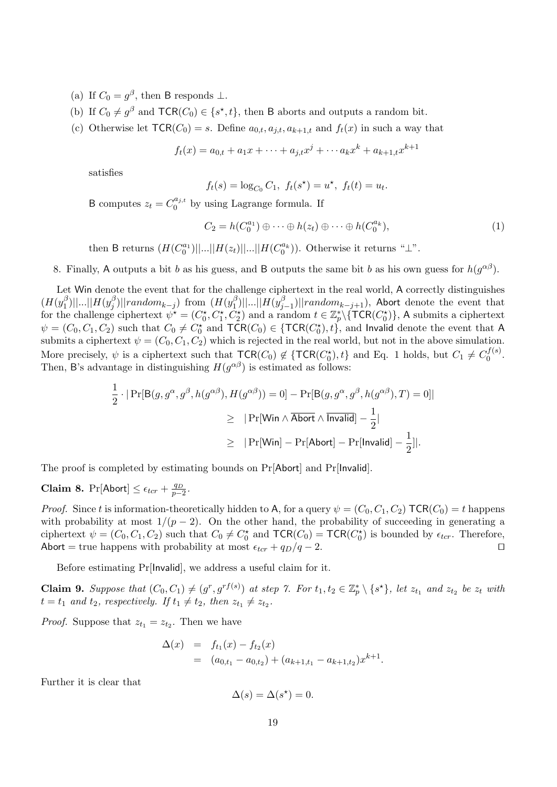(a) If  $C_0 = g^{\beta}$ , then B responds  $\perp$ .

- (b) If  $C_0 \neq g^{\beta}$  and  $\mathsf{TCR}(C_0) \in \{s^*, t\}$ , then B aborts and outputs a random bit.
- (c) Otherwise let  $TCR(C_0) = s$ . Define  $a_{0,t}, a_{i,t}, a_{k+1,t}$  and  $f_t(x)$  in such a way that

$$
f_t(x) = a_{0,t} + a_1 x + \dots + a_{j,t} x^j + \dots + a_k x^k + a_{k+1,t} x^{k+1}
$$

satisfies

$$
f_t(s) = \log_{C_0} C_1
$$
,  $f_t(s^*) = u^*$ ,  $f_t(t) = u_t$ .

B computes  $z_t = C_0^{a_{j,t}}$  $\int_0^{a_{j,t}}$  by using Lagrange formula. If

$$
C_2 = h(C_0^{a_1}) \oplus \cdots \oplus h(z_t) \oplus \cdots \oplus h(C_0^{a_k}),
$$
\n(1)

then B returns  $(H(C_0^{a_1})||...||H(z_t)||...||H(C_0^{a_k})).$  Otherwise it returns " $\perp$ ".

8. Finally, A outputs a bit b as his guess, and B outputs the same bit b as his own guess for  $h(g^{\alpha\beta})$ .

Let Win denote the event that for the challenge ciphertext in the real world, A correctly distinguishes  $(H(y_1^{\beta}$  $_{1}^{\beta})||...||H(y_{j}^{\beta}% )||\leq\frac{1}{2}$  $\int\limits_j^\beta ) || random_{k-j} ) \,$  from  $(H(y_1^\beta$  $|10^{\beta}| |...| |H(y_j^{\beta})$  $\sum_{j=1}^{3}$ )||random<sub>k−j+1</sub>), Abort denote the event that for the challenge ciphertext  $\psi^* = (C_0^*, C_1^*, C_2^*)$  and a random  $t \in \mathbb{Z}_p^* \setminus {\{ \mathsf{TCR}(C_0^*) \}}$ , A submits a ciphertext  $\psi = (C_0, C_1, C_2)$  such that  $C_0 \neq C_0^{\star}$  and  $TCR(C_0) \in \{TCR(C_0^{\star}), t\}$ , and Invalid denote the event that A submits a ciphertext  $\psi = (C_0, C_1, C_2)$  which is rejected in the real world, but not in the above simulation. More precisely,  $\psi$  is a ciphertext such that  $TCR(C_0) \notin \{TCR(C_0^*), t\}$  and Eq. 1 holds, but  $C_1 \neq C_0^{f(s)}$  $\frac{d}{b}$  $\frac{(s)}{b}$ . Then, B's advantage in distinguishing  $H(g^{\alpha\beta})$  is estimated as follows:

$$
\frac{1}{2} \cdot |\Pr[\mathsf{B}(g, g^{\alpha}, g^{\beta}, h(g^{\alpha \beta}), H(g^{\alpha \beta})) = 0] - \Pr[\mathsf{B}(g, g^{\alpha}, g^{\beta}, h(g^{\alpha \beta}), T) = 0]|\n\n\geq |\Pr[\mathsf{Win} \land \overline{\mathsf{Abort}} \land \overline{\mathsf{Invalid}}] - \frac{1}{2}|\n\n\geq |\Pr[\mathsf{Win}] - \Pr[\mathsf{Abort}] - \Pr[\mathsf{Invalid}] - \frac{1}{2}||.
$$

The proof is completed by estimating bounds on Pr[Abort] and Pr[Invalid].

Claim 8. Pr[Abort]  $\leq \epsilon_{tor} + \frac{q_D}{p-2}$ .

*Proof.* Since t is information-theoretically hidden to A, for a query  $\psi = (C_0, C_1, C_2)$  TCR $(C_0) = t$  happens with probability at most  $1/(p-2)$ . On the other hand, the probability of succeeding in generating a ciphertext  $\psi = (C_0, C_1, C_2)$  such that  $C_0 \neq C_0^*$  and  $TCR(C_0) = TCR(C_0^*)$  is bounded by  $\epsilon_{ter}$ . Therefore, Abort = true happens with probability at most  $\epsilon_{tr} + q_D/q - 2$ .

Before estimating Pr[Invalid], we address a useful claim for it.

**Claim 9.** Suppose that  $(C_0, C_1) \neq (g^r, g^{rf(s)})$  at step 7. For  $t_1, t_2 \in \mathbb{Z}_p^* \setminus \{s^{\star}\},$  let  $z_{t_1}$  and  $z_{t_2}$  be  $z_t$  with  $t = t_1$  and  $t_2$ , respectively. If  $t_1 \neq t_2$ , then  $z_{t_1} \neq z_{t_2}$ .

*Proof.* Suppose that  $z_{t_1} = z_{t_2}$ . Then we have

$$
\Delta(x) = f_{t_1}(x) - f_{t_2}(x)
$$
  
=  $(a_{0,t_1} - a_{0,t_2}) + (a_{k+1,t_1} - a_{k+1,t_2})x^{k+1}.$ 

Further it is clear that

$$
\Delta(s) = \Delta(s^*) = 0.
$$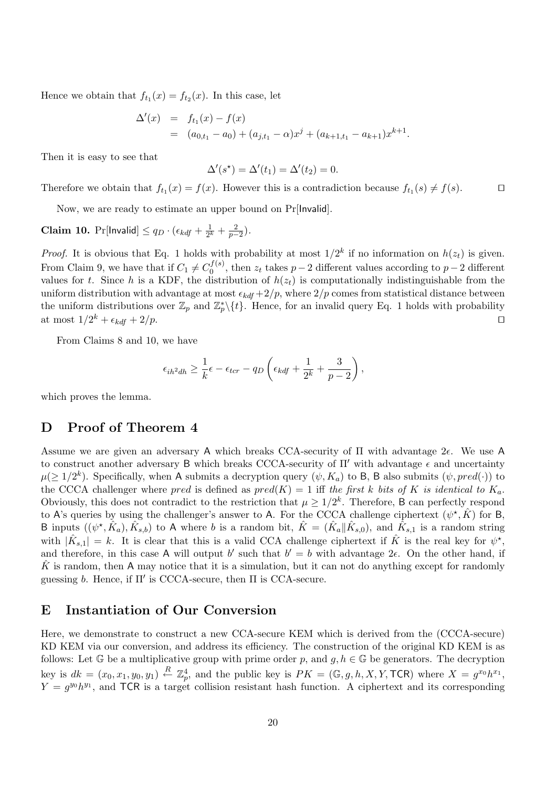Hence we obtain that  $f_{t_1}(x) = f_{t_2}(x)$ . In this case, let

$$
\Delta'(x) = f_{t_1}(x) - f(x)
$$
  
=  $(a_{0,t_1} - a_0) + (a_{j,t_1} - \alpha)x^j + (a_{k+1,t_1} - a_{k+1})x^{k+1}.$ 

Then it is easy to see that

$$
\Delta'(s^*) = \Delta'(t_1) = \Delta'(t_2) = 0.
$$

Therefore we obtain that  $f_{t_1}(x) = f(x)$ . However this is a contradiction because  $f_{t_1}(s) \neq f(s)$ .

Now, we are ready to estimate an upper bound on Pr[Invalid].

**Claim 10.** Pr[lnvalid]  $\leq q_D \cdot (\epsilon_{kdf} + \frac{1}{2^l})$  $\frac{1}{2^k} + \frac{2}{p-2}$ ).

*Proof.* It is obvious that Eq. 1 holds with probability at most  $1/2^k$  if no information on  $h(z_t)$  is given. From Claim 9, we have that if  $C_1 \neq C_0^{f(s)}$  $v_0^{(s)}$ , then  $z_t$  takes  $p-2$  different values according to  $p-2$  different values for t. Since h is a KDF, the distribution of  $h(z_t)$  is computationally indistinguishable from the uniform distribution with advantage at most  $\epsilon_{kdf} + 2/p$ , where  $2/p$  comes from statistical distance between the uniform distributions over  $\mathbb{Z}_p$  and  $\mathbb{Z}_p^*\backslash\{t\}$ . Hence, for an invalid query Eq. 1 holds with probability at most  $1/2^k + \epsilon_{kdf} + 2/p$ .

From Claims 8 and 10, we have

$$
\epsilon_{ih^2dh} \ge \frac{1}{k} \epsilon - \epsilon_{tcr} - q_D \left( \epsilon_{kdf} + \frac{1}{2^k} + \frac{3}{p-2} \right),\,
$$

which proves the lemma.

## D Proof of Theorem 4

Assume we are given an adversary A which breaks CCA-security of  $\Pi$  with advantage  $2\epsilon$ . We use A to construct another adversary B which breaks CCCA-security of  $\Pi'$  with advantage  $\epsilon$  and uncertainty  $\mu(\geq 1/2^k)$ . Specifically, when A submits a decryption query  $(\psi, K_a)$  to B, B also submits  $(\psi, pred(\cdot))$  to the CCCA challenger where pred is defined as  $pred(K) = 1$  iff the first k bits of K is identical to  $K_a$ . Obviously, this does not contradict to the restriction that  $\mu \geq 1/2^k$ . Therefore, B can perfectly respond to A's queries by using the challenger's answer to A. For the CCCA challenge ciphertext  $(\psi^*, \hat{K})$  for B, B inputs  $((\psi^*, \hat{K}_a), \hat{K}_{s,b})$  to A where b is a random bit,  $\hat{K} = (\hat{K}_a || \hat{K}_{s,0})$ , and  $\hat{K}_{s,1}$  is a random string with  $|\hat{K}_{s,1}| = k$ . It is clear that this is a valid CCA challenge ciphertext if  $\hat{K}$  is the real key for  $\psi^{\star}$ , and therefore, in this case A will output b' such that  $b' = b$  with advantage  $2\epsilon$ . On the other hand, if  $\overline{K}$  is random, then A may notice that it is a simulation, but it can not do anything except for randomly guessing b. Hence, if  $\Pi'$  is CCCA-secure, then  $\Pi$  is CCA-secure.

### E Instantiation of Our Conversion

Here, we demonstrate to construct a new CCA-secure KEM which is derived from the (CCCA-secure) KD KEM via our conversion, and address its efficiency. The construction of the original KD KEM is as follows: Let G be a multiplicative group with prime order p, and  $g, h \in \mathbb{G}$  be generators. The decryption key is  $dk = (x_0, x_1, y_0, y_1) \stackrel{R}{\leftarrow} \mathbb{Z}_p^4$ , and the public key is  $PK = (\mathbb{G}, g, h, X, Y, \text{TCR})$  where  $X = g^{x_0}h^{x_1}$ ,  $Y = g^{y_0} h^{y_1}$ , and TCR is a target collision resistant hash function. A ciphertext and its corresponding